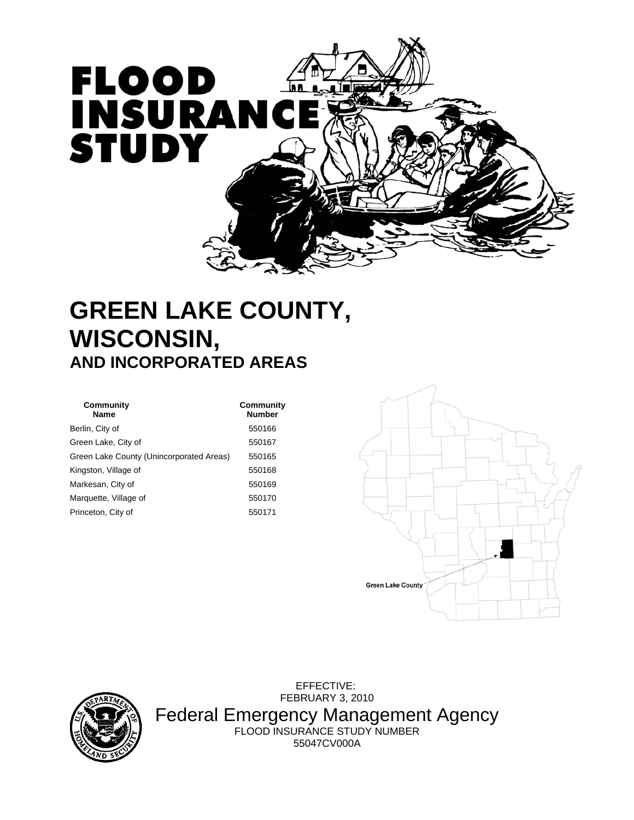

# **GREEN LAKE COUNTY, WISCONSIN, AND INCORPORATED AREAS**

| Community<br><b>Name</b>                 | Community<br><b>Number</b> |
|------------------------------------------|----------------------------|
| Berlin, City of                          | 550166                     |
| Green Lake, City of                      | 550167                     |
| Green Lake County (Unincorporated Areas) | 550165                     |
| Kingston, Village of                     | 550168                     |
| Markesan, City of                        | 550169                     |
| Marquette, Village of                    | 550170                     |
| Princeton, City of                       | 550171                     |





 EFFECTIVE: FEBRUARY 3, 2010 Federal Emergency Management Agency FLOOD INSURANCE STUDY NUMBER 55047CV000A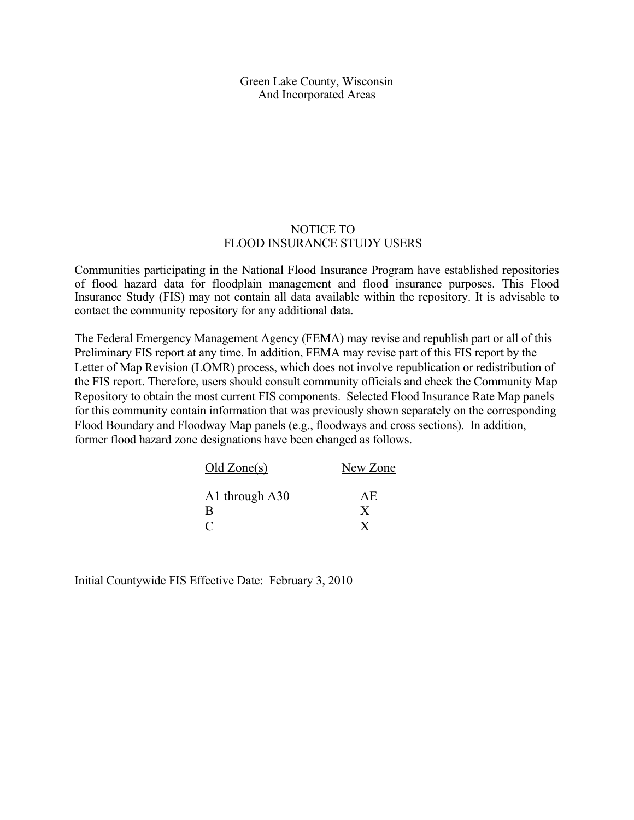Green Lake County, Wisconsin And Incorporated Areas

#### NOTICE TO FLOOD INSURANCE STUDY USERS

Communities participating in the National Flood Insurance Program have established repositories of flood hazard data for floodplain management and flood insurance purposes. This Flood Insurance Study (FIS) may not contain all data available within the repository. It is advisable to contact the community repository for any additional data.

The Federal Emergency Management Agency (FEMA) may revise and republish part or all of this Preliminary FIS report at any time. In addition, FEMA may revise part of this FIS report by the Letter of Map Revision (LOMR) process, which does not involve republication or redistribution of the FIS report. Therefore, users should consult community officials and check the Community Map Repository to obtain the most current FIS components. Selected Flood Insurance Rate Map panels for this community contain information that was previously shown separately on the corresponding Flood Boundary and Floodway Map panels (e.g., floodways and cross sections). In addition, former flood hazard zone designations have been changed as follows.

| Old<br>Zone(s)              | New Zone |
|-----------------------------|----------|
| A1 through A30              | AE       |
| B                           | X        |
| $\mathcal{C}_{\mathcal{C}}$ |          |

Initial Countywide FIS Effective Date: February 3, 2010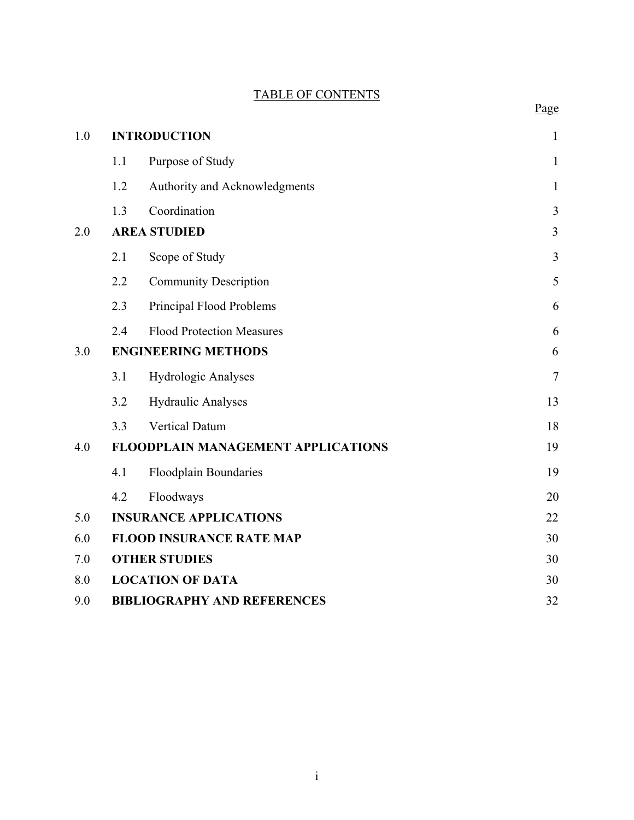# TABLE OF CONTENTS

Page

| 1.0 |     | <b>INTRODUCTION</b>                       | $\mathbf{1}$ |
|-----|-----|-------------------------------------------|--------------|
|     | 1.1 | Purpose of Study                          | $\mathbf{1}$ |
|     | 1.2 | Authority and Acknowledgments             | $\mathbf{1}$ |
|     | 1.3 | Coordination                              | 3            |
| 2.0 |     | <b>AREA STUDIED</b>                       | 3            |
|     | 2.1 | Scope of Study                            | 3            |
|     | 2.2 | <b>Community Description</b>              | 5            |
|     | 2.3 | Principal Flood Problems                  | 6            |
|     | 2.4 | <b>Flood Protection Measures</b>          | 6            |
| 3.0 |     | <b>ENGINEERING METHODS</b>                | 6            |
|     | 3.1 | <b>Hydrologic Analyses</b>                | $\tau$       |
|     | 3.2 | Hydraulic Analyses                        | 13           |
|     | 3.3 | <b>Vertical Datum</b>                     | 18           |
| 4.0 |     | <b>FLOODPLAIN MANAGEMENT APPLICATIONS</b> | 19           |
|     | 4.1 | <b>Floodplain Boundaries</b>              | 19           |
|     | 4.2 | Floodways                                 | 20           |
| 5.0 |     | <b>INSURANCE APPLICATIONS</b>             | 22           |
| 6.0 |     | <b>FLOOD INSURANCE RATE MAP</b>           | 30           |
| 7.0 |     | <b>OTHER STUDIES</b>                      | 30           |
| 8.0 |     | <b>LOCATION OF DATA</b>                   | 30           |
| 9.0 |     | <b>BIBLIOGRAPHY AND REFERENCES</b>        | 32           |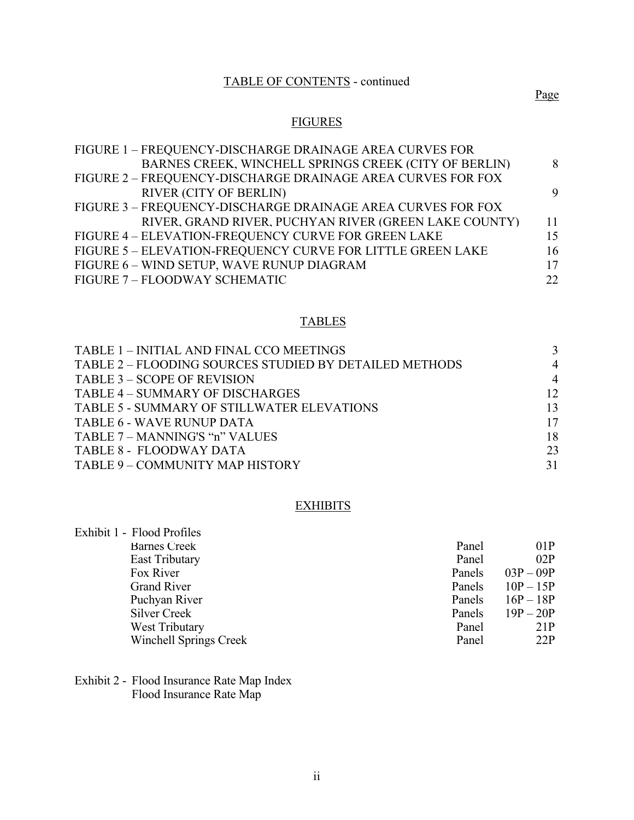# TABLE OF CONTENTS - continued

# **FIGURES**

| FIGURE 1 – FREQUENCY-DISCHARGE DRAINAGE AREA CURVES FOR     |    |
|-------------------------------------------------------------|----|
| BARNES CREEK, WINCHELL SPRINGS CREEK (CITY OF BERLIN)       | 8  |
| FIGURE 2 - FREQUENCY-DISCHARGE DRAINAGE AREA CURVES FOR FOX |    |
| <b>RIVER (CITY OF BERLIN)</b>                               | 9  |
| FIGURE 3 - FREQUENCY-DISCHARGE DRAINAGE AREA CURVES FOR FOX |    |
| RIVER, GRAND RIVER, PUCHYAN RIVER (GREEN LAKE COUNTY)       | 11 |
| FIGURE 4 - ELEVATION-FREQUENCY CURVE FOR GREEN LAKE         | 15 |
| FIGURE 5 - ELEVATION-FREQUENCY CURVE FOR LITTLE GREEN LAKE  | 16 |
| FIGURE 6 - WIND SETUP, WAVE RUNUP DIAGRAM                   | 17 |
| FIGURE 7 - FLOODWAY SCHEMATIC                               | 22 |

# TABLES

| TABLE 1 - INITIAL AND FINAL CCO MEETINGS               |                |
|--------------------------------------------------------|----------------|
| TABLE 2 – FLOODING SOURCES STUDIED BY DETAILED METHODS | $\overline{4}$ |
| TABLE 3 – SCOPE OF REVISION                            | $\overline{4}$ |
| TABLE 4 – SUMMARY OF DISCHARGES                        | 12             |
| TABLE 5 - SUMMARY OF STILLWATER ELEVATIONS             | 13             |
| TABLE 6 - WAVE RUNUP DATA                              | 17             |
| TABLE 7 – MANNING'S "n" VALUES                         | 18             |
| TABLE 8 - FLOODWAY DATA                                | 23             |
| TABLE 9 - COMMUNITY MAP HISTORY                        | 31             |

# **EXHIBITS**

| Exhibit 1 - Flood Profiles    |        |             |
|-------------------------------|--------|-------------|
| <b>Barnes Creek</b>           | Panel  | 01P         |
| <b>East Tributary</b>         | Panel  | 02P         |
| Fox River                     | Panels | $03P - 09P$ |
| <b>Grand River</b>            | Panels | $10P - 15P$ |
| Puchyan River                 | Panels | $16P - 18P$ |
| Silver Creek                  | Panels | $19P - 20P$ |
| <b>West Tributary</b>         | Panel  | 21P         |
| <b>Winchell Springs Creek</b> | Panel  | 22P         |
|                               |        |             |

Exhibit 2 - Flood Insurance Rate Map Index Flood Insurance Rate Map

ii

Page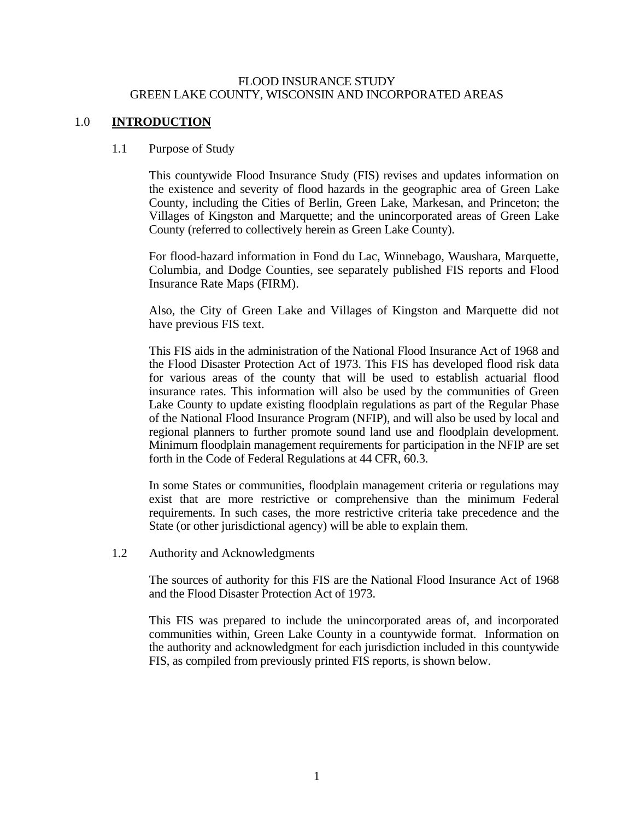#### FLOOD INSURANCE STUDY GREEN LAKE COUNTY, WISCONSIN AND INCORPORATED AREAS

#### <span id="page-4-0"></span>1.0 **INTRODUCTION**

#### 1.1 Purpose of Study

This countywide Flood Insurance Study (FIS) revises and updates information on the existence and severity of flood hazards in the geographic area of Green Lake County, including the Cities of Berlin, Green Lake, Markesan, and Princeton; the Villages of Kingston and Marquette; and the unincorporated areas of Green Lake County (referred to collectively herein as Green Lake County).

For flood-hazard information in Fond du Lac, Winnebago, Waushara, Marquette, Columbia, and Dodge Counties, see separately published FIS reports and Flood Insurance Rate Maps (FIRM).

Also, the City of Green Lake and Villages of Kingston and Marquette did not have previous FIS text.

This FIS aids in the administration of the National Flood Insurance Act of 1968 and the Flood Disaster Protection Act of 1973. This FIS has developed flood risk data for various areas of the county that will be used to establish actuarial flood insurance rates. This information will also be used by the communities of Green Lake County to update existing floodplain regulations as part of the Regular Phase of the National Flood Insurance Program (NFIP), and will also be used by local and regional planners to further promote sound land use and floodplain development. Minimum floodplain management requirements for participation in the NFIP are set forth in the Code of Federal Regulations at 44 CFR, 60.3.

In some States or communities, floodplain management criteria or regulations may exist that are more restrictive or comprehensive than the minimum Federal requirements. In such cases, the more restrictive criteria take precedence and the State (or other jurisdictional agency) will be able to explain them.

1.2 Authority and Acknowledgments

The sources of authority for this FIS are the National Flood Insurance Act of 1968 and the Flood Disaster Protection Act of 1973.

This FIS was prepared to include the unincorporated areas of, and incorporated communities within, Green Lake County in a countywide format. Information on the authority and acknowledgment for each jurisdiction included in this countywide FIS, as compiled from previously printed FIS reports, is shown below.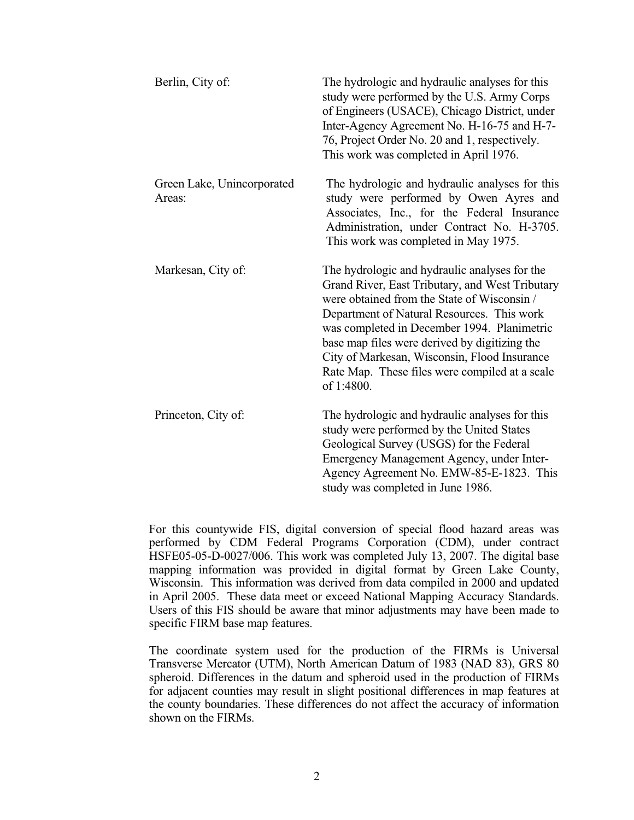| Berlin, City of:                     | The hydrologic and hydraulic analyses for this<br>study were performed by the U.S. Army Corps<br>of Engineers (USACE), Chicago District, under<br>Inter-Agency Agreement No. H-16-75 and H-7-<br>76, Project Order No. 20 and 1, respectively.<br>This work was completed in April 1976.                                                                                                                      |
|--------------------------------------|---------------------------------------------------------------------------------------------------------------------------------------------------------------------------------------------------------------------------------------------------------------------------------------------------------------------------------------------------------------------------------------------------------------|
| Green Lake, Unincorporated<br>Areas: | The hydrologic and hydraulic analyses for this<br>study were performed by Owen Ayres and<br>Associates, Inc., for the Federal Insurance<br>Administration, under Contract No. H-3705.<br>This work was completed in May 1975.                                                                                                                                                                                 |
| Markesan, City of:                   | The hydrologic and hydraulic analyses for the<br>Grand River, East Tributary, and West Tributary<br>were obtained from the State of Wisconsin /<br>Department of Natural Resources. This work<br>was completed in December 1994. Planimetric<br>base map files were derived by digitizing the<br>City of Markesan, Wisconsin, Flood Insurance<br>Rate Map. These files were compiled at a scale<br>of 1:4800. |
| Princeton, City of:                  | The hydrologic and hydraulic analyses for this<br>study were performed by the United States<br>Geological Survey (USGS) for the Federal<br>Emergency Management Agency, under Inter-<br>Agency Agreement No. EMW-85-E-1823. This<br>study was completed in June 1986.                                                                                                                                         |

For this countywide FIS, digital conversion of special flood hazard areas was performed by CDM Federal Programs Corporation (CDM), under contract HSFE05-05-D-0027/006. This work was completed July 13, 2007. The digital base mapping information was provided in digital format by Green Lake County, Wisconsin. This information was derived from data compiled in 2000 and updated in April 2005. These data meet or exceed National Mapping Accuracy Standards. Users of this FIS should be aware that minor adjustments may have been made to specific FIRM base map features.

The coordinate system used for the production of the FIRMs is Universal Transverse Mercator (UTM), North American Datum of 1983 (NAD 83), GRS 80 spheroid. Differences in the datum and spheroid used in the production of FIRMs for adjacent counties may result in slight positional differences in map features at the county boundaries. These differences do not affect the accuracy of information shown on the FIRMs.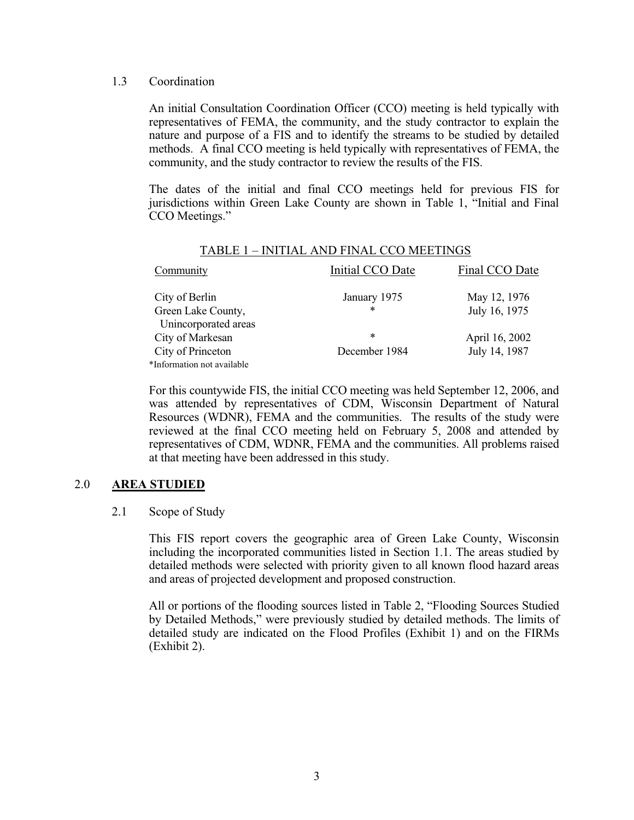#### <span id="page-6-0"></span>1.3 Coordination

An initial Consultation Coordination Officer (CCO) meeting is held typically with representatives of FEMA, the community, and the study contractor to explain the nature and purpose of a FIS and to identify the streams to be studied by detailed methods. A final CCO meeting is held typically with representatives of FEMA, the community, and the study contractor to review the results of the FIS.

The dates of the initial and final CCO meetings held for previous FIS for jurisdictions within Green Lake County are shown in Table 1, "Initial and Final CCO Meetings."

| Community                  | Initial CCO Date | Final CCO Date |
|----------------------------|------------------|----------------|
| City of Berlin             | January 1975     | May 12, 1976   |
| Green Lake County,         | *                | July 16, 1975  |
| Unincorporated areas       |                  |                |
| City of Markesan           | $\ast$           | April 16, 2002 |
| City of Princeton          | December 1984    | July 14, 1987  |
| *Information not available |                  |                |

#### TABLE 1 – INITIAL AND FINAL CCO MEETINGS

For this countywide FIS, the initial CCO meeting was held September 12, 2006, and was attended by representatives of CDM, Wisconsin Department of Natural Resources (WDNR), FEMA and the communities. The results of the study were reviewed at the final CCO meeting held on February 5, 2008 and attended by representatives of CDM, WDNR, FEMA and the communities. All problems raised at that meeting have been addressed in this study.

#### 2.0 **AREA STUDIED**

#### 2.1 Scope of Study

This FIS report covers the geographic area of Green Lake County, Wisconsin including the incorporated communities listed in Section 1.1. The areas studied by detailed methods were selected with priority given to all known flood hazard areas and areas of projected development and proposed construction.

All or portions of the flooding sources listed in Table 2, "Flooding Sources Studied by Detailed Methods," were previously studied by detailed methods. The limits of detailed study are indicated on the Flood Profiles (Exhibit 1) and on the FIRMs (Exhibit 2).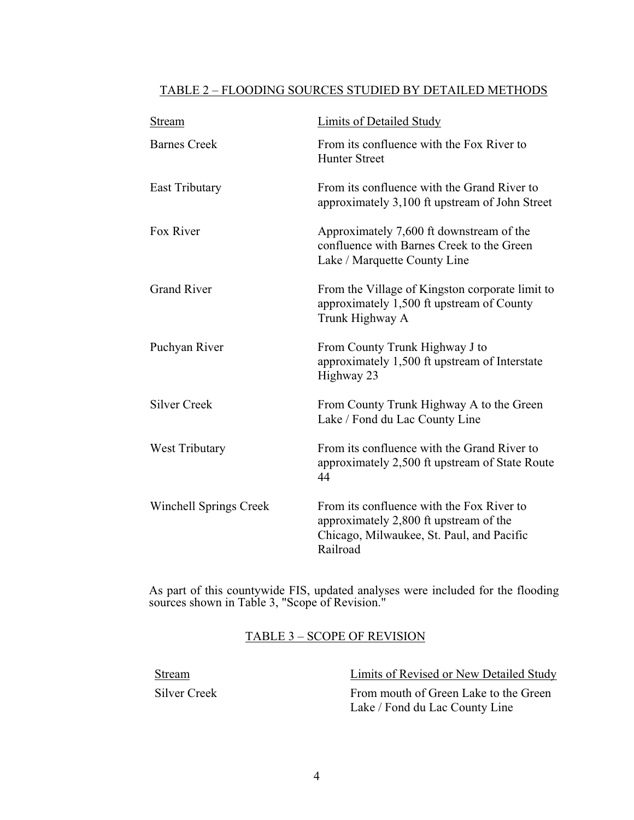# <span id="page-7-0"></span>TABLE 2 – FLOODING SOURCES STUDIED BY DETAILED METHODS

| Stream                        | Limits of Detailed Study                                                                                                                     |
|-------------------------------|----------------------------------------------------------------------------------------------------------------------------------------------|
| <b>Barnes Creek</b>           | From its confluence with the Fox River to<br><b>Hunter Street</b>                                                                            |
| <b>East Tributary</b>         | From its confluence with the Grand River to<br>approximately 3,100 ft upstream of John Street                                                |
| Fox River                     | Approximately 7,600 ft downstream of the<br>confluence with Barnes Creek to the Green<br>Lake / Marquette County Line                        |
| <b>Grand River</b>            | From the Village of Kingston corporate limit to<br>approximately 1,500 ft upstream of County<br>Trunk Highway A                              |
| Puchyan River                 | From County Trunk Highway J to<br>approximately 1,500 ft upstream of Interstate<br>Highway 23                                                |
| <b>Silver Creek</b>           | From County Trunk Highway A to the Green<br>Lake / Fond du Lac County Line                                                                   |
| West Tributary                | From its confluence with the Grand River to<br>approximately 2,500 ft upstream of State Route<br>44                                          |
| <b>Winchell Springs Creek</b> | From its confluence with the Fox River to<br>approximately 2,800 ft upstream of the<br>Chicago, Milwaukee, St. Paul, and Pacific<br>Railroad |

As part of this countywide FIS, updated analyses were included for the flooding sources shown in Table 3, "Scope of Revision."

# TABLE 3 – SCOPE OF REVISION

| Stream       | Limits of Revised or New Detailed Study |
|--------------|-----------------------------------------|
| Silver Creek | From mouth of Green Lake to the Green   |
|              | Lake / Fond du Lac County Line          |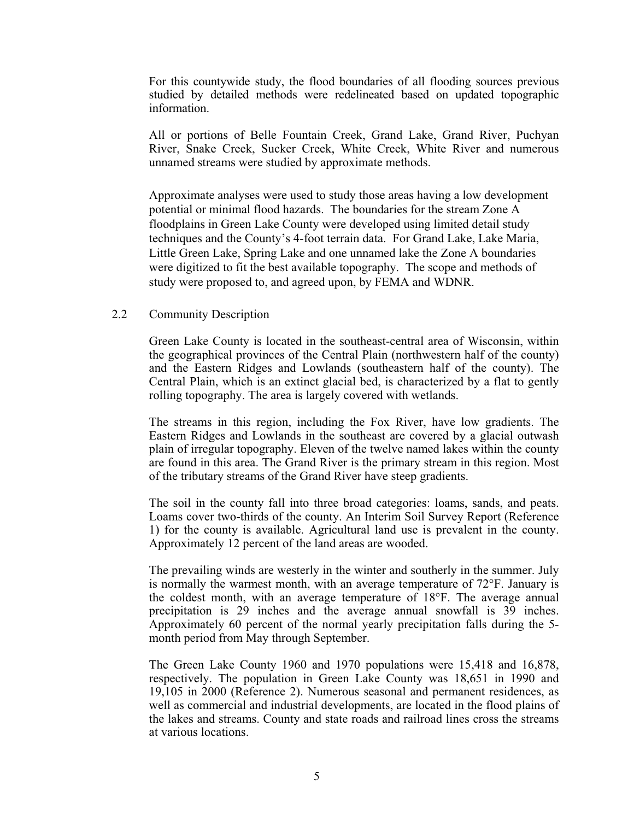<span id="page-8-0"></span>For this countywide study, the flood boundaries of all flooding sources previous studied by detailed methods were redelineated based on updated topographic information.

All or portions of Belle Fountain Creek, Grand Lake, Grand River, Puchyan River, Snake Creek, Sucker Creek, White Creek, White River and numerous unnamed streams were studied by approximate methods.

Approximate analyses were used to study those areas having a low development potential or minimal flood hazards. The boundaries for the stream Zone A floodplains in Green Lake County were developed using limited detail study techniques and the County's 4-foot terrain data. For Grand Lake, Lake Maria, Little Green Lake, Spring Lake and one unnamed lake the Zone A boundaries were digitized to fit the best available topography. The scope and methods of study were proposed to, and agreed upon, by FEMA and WDNR.

#### 2.2 Community Description

Green Lake County is located in the southeast-central area of Wisconsin, within the geographical provinces of the Central Plain (northwestern half of the county) and the Eastern Ridges and Lowlands (southeastern half of the county). The Central Plain, which is an extinct glacial bed, is characterized by a flat to gently rolling topography. The area is largely covered with wetlands.

The streams in this region, including the Fox River, have low gradients. The Eastern Ridges and Lowlands in the southeast are covered by a glacial outwash plain of irregular topography. Eleven of the twelve named lakes within the county are found in this area. The Grand River is the primary stream in this region. Most of the tributary streams of the Grand River have steep gradients.

The soil in the county fall into three broad categories: loams, sands, and peats. Loams cover two-thirds of the county. An Interim Soil Survey Report (Reference 1) for the county is available. Agricultural land use is prevalent in the county. Approximately 12 percent of the land areas are wooded.

The prevailing winds are westerly in the winter and southerly in the summer. July is normally the warmest month, with an average temperature of 72°F. January is the coldest month, with an average temperature of 18°F. The average annual precipitation is 29 inches and the average annual snowfall is 39 inches. Approximately 60 percent of the normal yearly precipitation falls during the 5 month period from May through September.

The Green Lake County 1960 and 1970 populations were 15,418 and 16,878, respectively. The population in Green Lake County was 18,651 in 1990 and 19,105 in 2000 (Reference 2). Numerous seasonal and permanent residences, as well as commercial and industrial developments, are located in the flood plains of the lakes and streams. County and state roads and railroad lines cross the streams at various locations.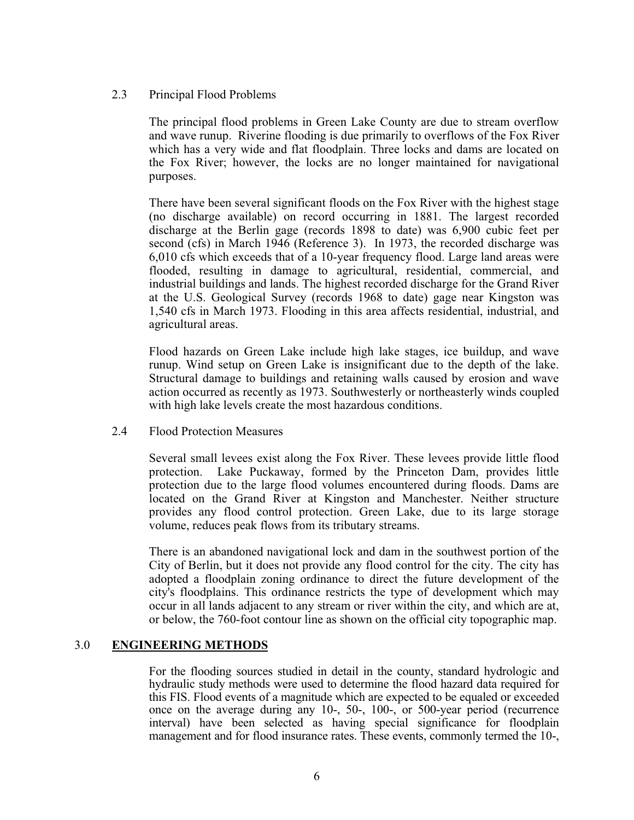#### <span id="page-9-0"></span>2.3 Principal Flood Problems

The principal flood problems in Green Lake County are due to stream overflow and wave runup. Riverine flooding is due primarily to overflows of the Fox River which has a very wide and flat floodplain. Three locks and dams are located on the Fox River; however, the locks are no longer maintained for navigational purposes.

There have been several significant floods on the Fox River with the highest stage (no discharge available) on record occurring in 1881. The largest recorded discharge at the Berlin gage (records 1898 to date) was 6,900 cubic feet per second (cfs) in March 1946 (Reference 3). In 1973, the recorded discharge was 6,010 cfs which exceeds that of a 10-year frequency flood. Large land areas were flooded, resulting in damage to agricultural, residential, commercial, and industrial buildings and lands. The highest recorded discharge for the Grand River at the U.S. Geological Survey (records 1968 to date) gage near Kingston was 1,540 cfs in March 1973. Flooding in this area affects residential, industrial, and agricultural areas.

Flood hazards on Green Lake include high lake stages, ice buildup, and wave runup. Wind setup on Green Lake is insignificant due to the depth of the lake. Structural damage to buildings and retaining walls caused by erosion and wave action occurred as recently as 1973. Southwesterly or northeasterly winds coupled with high lake levels create the most hazardous conditions.

2.4 Flood Protection Measures

Several small levees exist along the Fox River. These levees provide little flood protection. Lake Puckaway, formed by the Princeton Dam, provides little protection due to the large flood volumes encountered during floods. Dams are located on the Grand River at Kingston and Manchester. Neither structure provides any flood control protection. Green Lake, due to its large storage volume, reduces peak flows from its tributary streams.

There is an abandoned navigational lock and dam in the southwest portion of the City of Berlin, but it does not provide any flood control for the city. The city has adopted a floodplain zoning ordinance to direct the future development of the city's floodplains. This ordinance restricts the type of development which may occur in all lands adjacent to any stream or river within the city, and which are at, or below, the 760-foot contour line as shown on the official city topographic map.

#### 3.0 **ENGINEERING METHODS**

For the flooding sources studied in detail in the county, standard hydrologic and hydraulic study methods were used to determine the flood hazard data required for this FIS. Flood events of a magnitude which are expected to be equaled or exceeded once on the average during any 10-, 50-, 100-, or 500-year period (recurrence interval) have been selected as having special significance for floodplain management and for flood insurance rates. These events, commonly termed the 10-,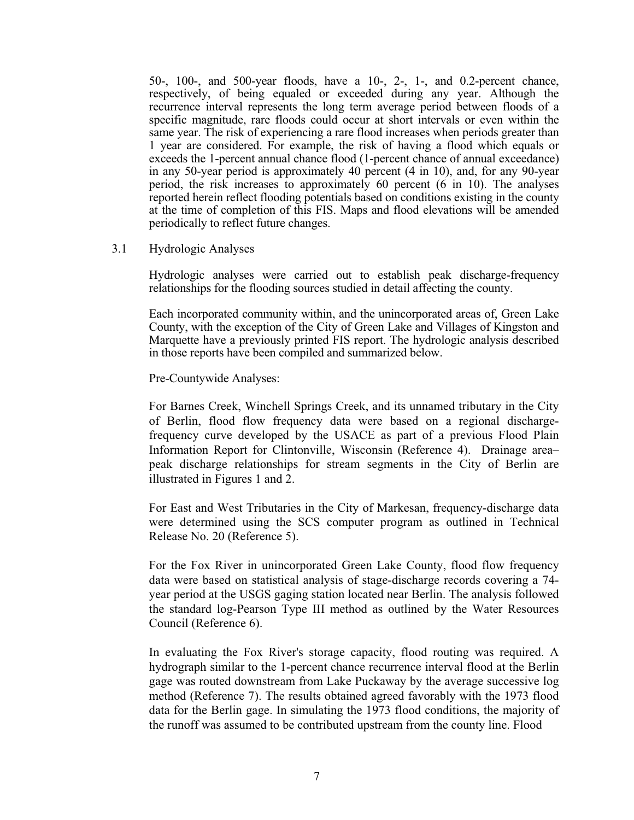<span id="page-10-0"></span>50-, 100-, and 500-year floods, have a 10-, 2-, 1-, and 0.2-percent chance, respectively, of being equaled or exceeded during any year. Although the recurrence interval represents the long term average period between floods of a specific magnitude, rare floods could occur at short intervals or even within the same year. The risk of experiencing a rare flood increases when periods greater than 1 year are considered. For example, the risk of having a flood which equals or exceeds the 1-percent annual chance flood (1-percent chance of annual exceedance) in any 50-year period is approximately 40 percent (4 in 10), and, for any 90-year period, the risk increases to approximately 60 percent (6 in 10). The analyses reported herein reflect flooding potentials based on conditions existing in the county at the time of completion of this FIS. Maps and flood elevations will be amended periodically to reflect future changes.

3.1 Hydrologic Analyses

Hydrologic analyses were carried out to establish peak discharge-frequency relationships for the flooding sources studied in detail affecting the county.

Each incorporated community within, and the unincorporated areas of, Green Lake County, with the exception of the City of Green Lake and Villages of Kingston and Marquette have a previously printed FIS report. The hydrologic analysis described in those reports have been compiled and summarized below.

Pre-Countywide Analyses:

For Barnes Creek, Winchell Springs Creek, and its unnamed tributary in the City of Berlin, flood flow frequency data were based on a regional dischargefrequency curve developed by the USACE as part of a previous Flood Plain Information Report for Clintonville, Wisconsin (Reference 4). Drainage area– peak discharge relationships for stream segments in the City of Berlin are illustrated in Figures 1 and 2.

For East and West Tributaries in the City of Markesan, frequency-discharge data were determined using the SCS computer program as outlined in Technical Release No. 20 (Reference 5).

For the Fox River in unincorporated Green Lake County, flood flow frequency data were based on statistical analysis of stage-discharge records covering a 74 year period at the USGS gaging station located near Berlin. The analysis followed the standard log-Pearson Type III method as outlined by the Water Resources Council (Reference 6).

In evaluating the Fox River's storage capacity, flood routing was required. A hydrograph similar to the 1-percent chance recurrence interval flood at the Berlin gage was routed downstream from Lake Puckaway by the average successive log method (Reference 7). The results obtained agreed favorably with the 1973 flood data for the Berlin gage. In simulating the 1973 flood conditions, the majority of the runoff was assumed to be contributed upstream from the county line. Flood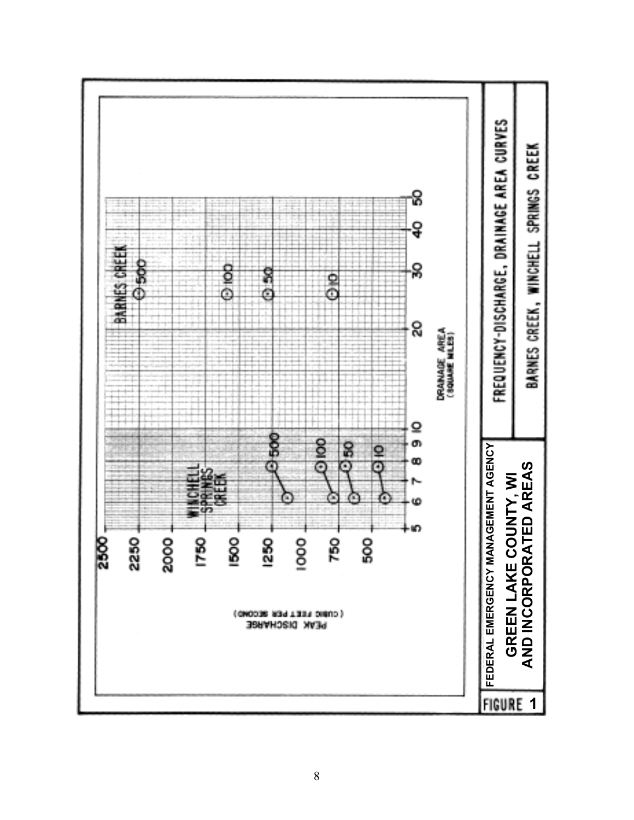<span id="page-11-0"></span>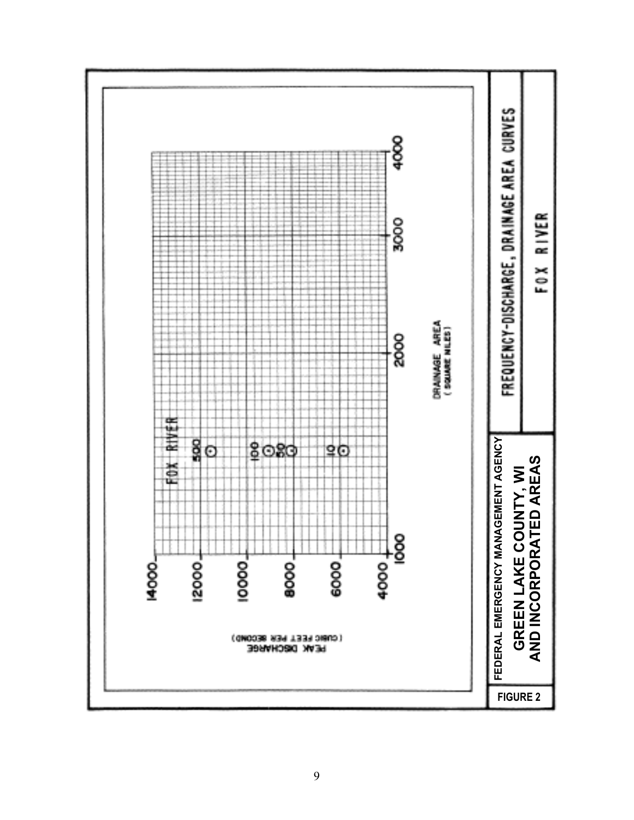<span id="page-12-0"></span>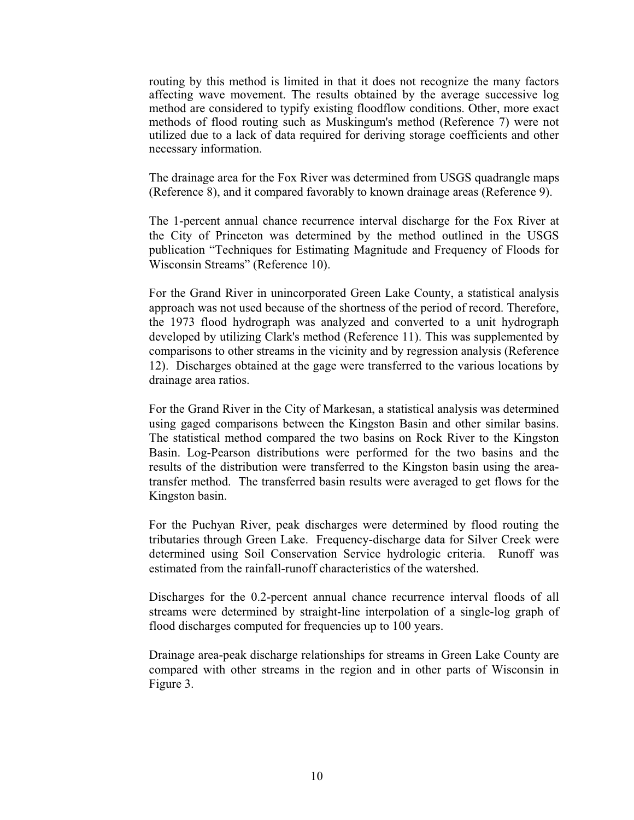routing by this method is limited in that it does not recognize the many factors affecting wave movement. The results obtained by the average successive log method are considered to typify existing floodflow conditions. Other, more exact methods of flood routing such as Muskingum's method (Reference 7) were not utilized due to a lack of data required for deriving storage coefficients and other necessary information.

The drainage area for the Fox River was determined from USGS quadrangle maps (Reference 8), and it compared favorably to known drainage areas (Reference 9).

The 1-percent annual chance recurrence interval discharge for the Fox River at the City of Princeton was determined by the method outlined in the USGS publication "Techniques for Estimating Magnitude and Frequency of Floods for Wisconsin Streams" (Reference 10).

For the Grand River in unincorporated Green Lake County, a statistical analysis approach was not used because of the shortness of the period of record. Therefore, the 1973 flood hydrograph was analyzed and converted to a unit hydrograph developed by utilizing Clark's method (Reference 11). This was supplemented by comparisons to other streams in the vicinity and by regression analysis (Reference 12). Discharges obtained at the gage were transferred to the various locations by drainage area ratios.

For the Grand River in the City of Markesan, a statistical analysis was determined using gaged comparisons between the Kingston Basin and other similar basins. The statistical method compared the two basins on Rock River to the Kingston Basin. Log-Pearson distributions were performed for the two basins and the results of the distribution were transferred to the Kingston basin using the areatransfer method. The transferred basin results were averaged to get flows for the Kingston basin.

For the Puchyan River, peak discharges were determined by flood routing the tributaries through Green Lake. Frequency-discharge data for Silver Creek were determined using Soil Conservation Service hydrologic criteria. Runoff was estimated from the rainfall-runoff characteristics of the watershed.

Discharges for the 0.2-percent annual chance recurrence interval floods of all streams were determined by straight-line interpolation of a single-log graph of flood discharges computed for frequencies up to 100 years.

Drainage area-peak discharge relationships for streams in Green Lake County are compared with other streams in the region and in other parts of Wisconsin in Figure 3.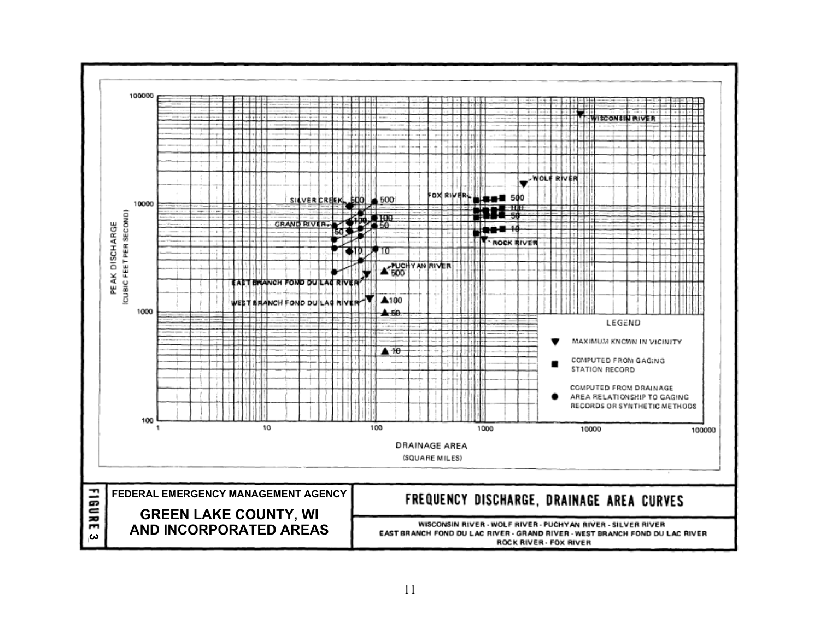<span id="page-14-0"></span>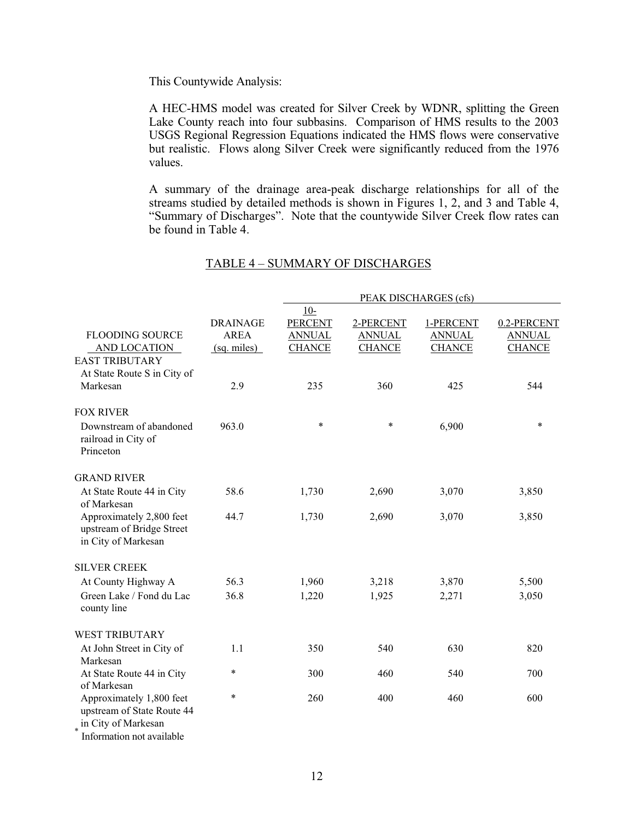<span id="page-15-0"></span>This Countywide Analysis:

A HEC-HMS model was created for Silver Creek by WDNR, splitting the Green Lake County reach into four subbasins. Comparison of HMS results to the 2003 USGS Regional Regression Equations indicated the HMS flows were conservative but realistic. Flows along Silver Creek were significantly reduced from the 1976 values.

A summary of the drainage area-peak discharge relationships for all of the streams studied by detailed methods is shown in Figures 1, 2, and 3 and Table 4, "Summary of Discharges". Note that the countywide Silver Creek flow rates can be found in Table 4.

|                                                                                                            |                 | PEAK DISCHARGES (cfs)   |               |               |               |
|------------------------------------------------------------------------------------------------------------|-----------------|-------------------------|---------------|---------------|---------------|
|                                                                                                            | <b>DRAINAGE</b> | $10-$<br><b>PERCENT</b> | 2-PERCENT     | 1-PERCENT     | 0.2-PERCENT   |
| <b>FLOODING SOURCE</b>                                                                                     | <b>AREA</b>     | <b>ANNUAL</b>           | <b>ANNUAL</b> | <b>ANNUAL</b> | <b>ANNUAL</b> |
| <b>AND LOCATION</b>                                                                                        | (sq. miles)     | <b>CHANCE</b>           | <b>CHANCE</b> | <b>CHANCE</b> | <b>CHANCE</b> |
| <b>EAST TRIBUTARY</b>                                                                                      |                 |                         |               |               |               |
| At State Route S in City of                                                                                |                 |                         |               |               |               |
| Markesan                                                                                                   | 2.9             | 235                     | 360           | 425           | 544           |
| <b>FOX RIVER</b>                                                                                           |                 |                         |               |               |               |
| Downstream of abandoned<br>railroad in City of<br>Princeton                                                | 963.0           | $\ast$                  | $\ast$        | 6,900         | $\ast$        |
| <b>GRAND RIVER</b>                                                                                         |                 |                         |               |               |               |
| At State Route 44 in City<br>of Markesan                                                                   | 58.6            | 1,730                   | 2,690         | 3,070         | 3,850         |
| Approximately 2,800 feet<br>upstream of Bridge Street<br>in City of Markesan                               | 44.7            | 1,730                   | 2,690         | 3,070         | 3,850         |
| <b>SILVER CREEK</b>                                                                                        |                 |                         |               |               |               |
| At County Highway A                                                                                        | 56.3            | 1,960                   | 3,218         | 3,870         | 5,500         |
| Green Lake / Fond du Lac<br>county line                                                                    | 36.8            | 1,220                   | 1,925         | 2,271         | 3,050         |
| <b>WEST TRIBUTARY</b>                                                                                      |                 |                         |               |               |               |
| At John Street in City of<br>Markesan                                                                      | 1.1             | 350                     | 540           | 630           | 820           |
| At State Route 44 in City<br>of Markesan                                                                   | $\ast$          | 300                     | 460           | 540           | 700           |
| Approximately 1,800 feet<br>upstream of State Route 44<br>in City of Markesan<br>Information not available | $\ast$          | 260                     | 400           | 460           | 600           |

#### TABLE 4 – SUMMARY OF DISCHARGES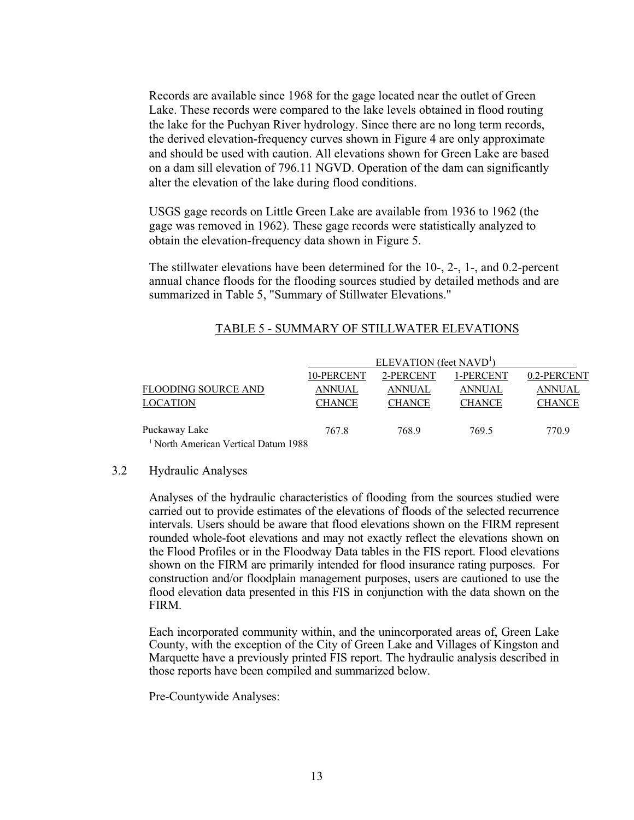<span id="page-16-0"></span>Records are available since 1968 for the gage located near the outlet of Green Lake. These records were compared to the lake levels obtained in flood routing the lake for the Puchyan River hydrology. Since there are no long term records, the derived elevation-frequency curves shown in Figure 4 are only approximate and should be used with caution. All elevations shown for Green Lake are based on a dam sill elevation of 796.11 NGVD. Operation of the dam can significantly alter the elevation of the lake during flood conditions.

USGS gage records on Little Green Lake are available from 1936 to 1962 (the gage was removed in 1962). These gage records were statistically analyzed to obtain the elevation-frequency data shown in Figure 5.

 The stillwater elevations have been determined for the 10-, 2-, 1-, and 0.2-percent annual chance floods for the flooding sources studied by detailed methods and are summarized in Table 5, "Summary of Stillwater Elevations."

|                                                   | ELEVATION (feet $NAVD1$ ) |               |               |               |
|---------------------------------------------------|---------------------------|---------------|---------------|---------------|
|                                                   | 10-PERCENT                | 2-PERCENT     | 1-PERCENT     | 0.2-PERCENT   |
| <b>FLOODING SOURCE AND</b>                        | ANNUAL                    | ANNUAL        | ANNUAL        | ANNUAL        |
| <b>LOCATION</b>                                   | <b>CHANCE</b>             | <b>CHANCE</b> | <b>CHANCE</b> | <b>CHANCE</b> |
| Puckaway Lake                                     | 767.8                     | 768.9         | 769.5         | 770.9         |
| $\frac{1}{2}$ North American Vertical Deturn 1000 |                           |               |               |               |

#### TABLE 5 - SUMMARY OF STILLWATER ELEVATIONS

#### North American Vertical Datum 1988.

#### 3.2 Hydraulic Analyses

Analyses of the hydraulic characteristics of flooding from the sources studied were carried out to provide estimates of the elevations of floods of the selected recurrence intervals. Users should be aware that flood elevations shown on the FIRM represent rounded whole-foot elevations and may not exactly reflect the elevations shown on the Flood Profiles or in the Floodway Data tables in the FIS report. Flood elevations shown on the FIRM are primarily intended for flood insurance rating purposes. For construction and/or floodplain management purposes, users are cautioned to use the flood elevation data presented in this FIS in conjunction with the data shown on the FIRM.

Each incorporated community within, and the unincorporated areas of, Green Lake County, with the exception of the City of Green Lake and Villages of Kingston and Marquette have a previously printed FIS report. The hydraulic analysis described in those reports have been compiled and summarized below.

Pre-Countywide Analyses: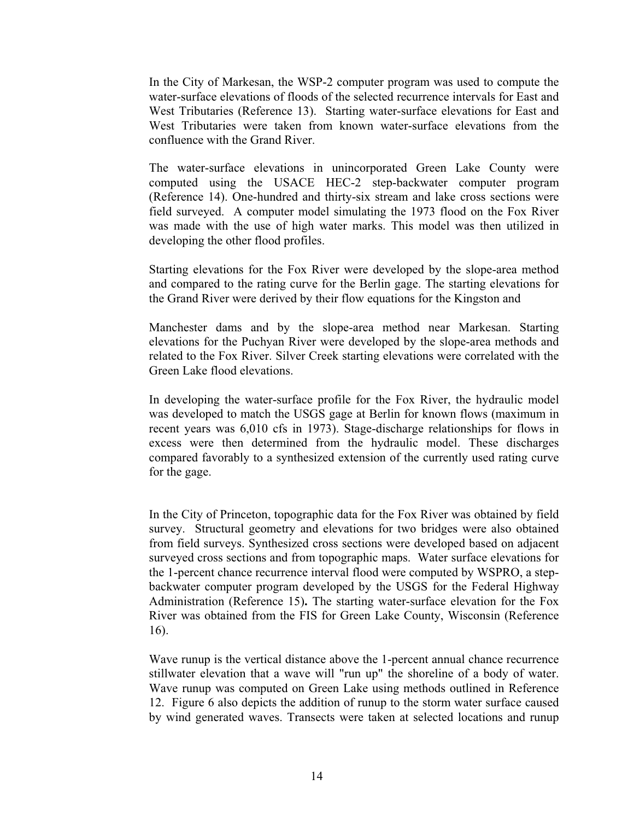In the City of Markesan, the WSP-2 computer program was used to compute the water-surface elevations of floods of the selected recurrence intervals for East and West Tributaries (Reference 13). Starting water-surface elevations for East and West Tributaries were taken from known water-surface elevations from the confluence with the Grand River.

The water-surface elevations in unincorporated Green Lake County were computed using the USACE HEC-2 step-backwater computer program (Reference 14). One-hundred and thirty-six stream and lake cross sections were field surveyed. A computer model simulating the 1973 flood on the Fox River was made with the use of high water marks. This model was then utilized in developing the other flood profiles.

Starting elevations for the Fox River were developed by the slope-area method and compared to the rating curve for the Berlin gage. The starting elevations for the Grand River were derived by their flow equations for the Kingston and

Manchester dams and by the slope-area method near Markesan. Starting elevations for the Puchyan River were developed by the slope-area methods and related to the Fox River. Silver Creek starting elevations were correlated with the Green Lake flood elevations.

In developing the water-surface profile for the Fox River, the hydraulic model was developed to match the USGS gage at Berlin for known flows (maximum in recent years was 6,010 cfs in 1973). Stage-discharge relationships for flows in excess were then determined from the hydraulic model. These discharges compared favorably to a synthesized extension of the currently used rating curve for the gage.

In the City of Princeton, topographic data for the Fox River was obtained by field survey. Structural geometry and elevations for two bridges were also obtained from field surveys. Synthesized cross sections were developed based on adjacent surveyed cross sections and from topographic maps. Water surface elevations for the 1-percent chance recurrence interval flood were computed by WSPRO, a stepbackwater computer program developed by the USGS for the Federal Highway Administration (Reference 15)**.** The starting water-surface elevation for the Fox River was obtained from the FIS for Green Lake County, Wisconsin (Reference 16).

Wave runup is the vertical distance above the 1-percent annual chance recurrence stillwater elevation that a wave will "run up" the shoreline of a body of water. Wave runup was computed on Green Lake using methods outlined in Reference 12. Figure 6 also depicts the addition of runup to the storm water surface caused by wind generated waves. Transects were taken at selected locations and runup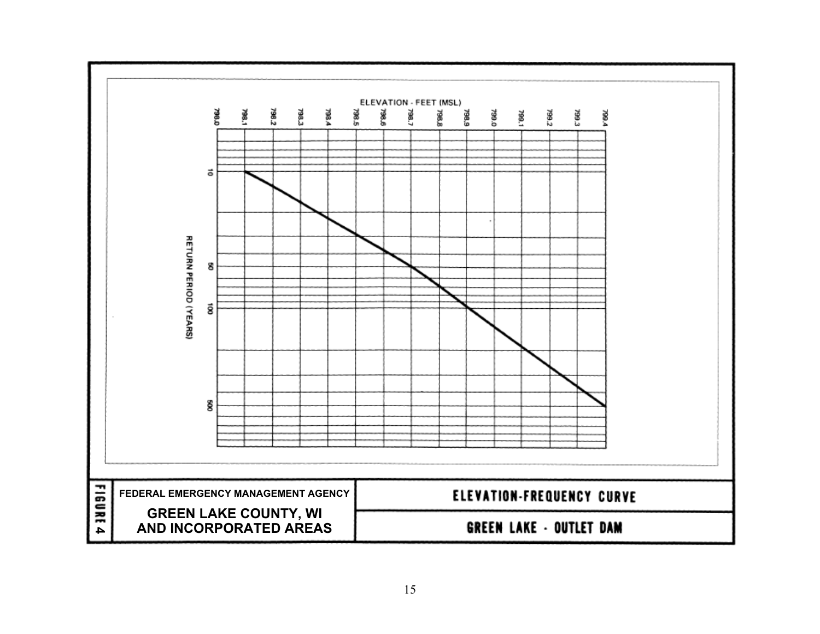<span id="page-18-0"></span>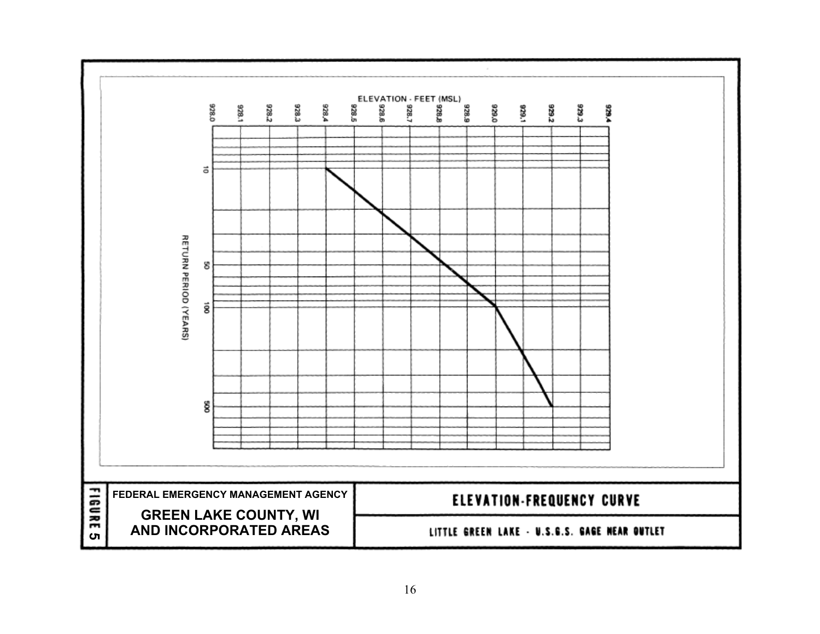<span id="page-19-0"></span>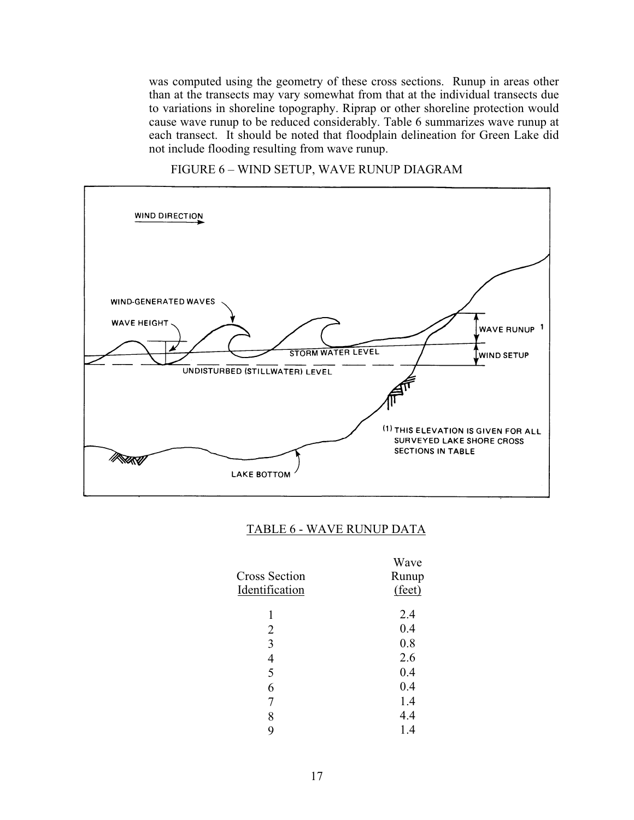<span id="page-20-0"></span>was computed using the geometry of these cross sections. Runup in areas other than at the transects may vary somewhat from that at the individual transects due to variations in shoreline topography. Riprap or other shoreline protection would cause wave runup to be reduced considerably. Table 6 summarizes wave runup at each transect. It should be noted that floodplain delineation for Green Lake did not include flooding resulting from wave runup.



FIGURE 6 – WIND SETUP, WAVE RUNUP DIAGRAM

#### TABLE 6 - WAVE RUNUP DATA

| Cross Section<br>Identification | Wave<br>Runup<br>(feet) |
|---------------------------------|-------------------------|
| 1                               | 2.4                     |
| 2                               | 0.4                     |
| 3                               | 0.8                     |
| 4                               | 2.6                     |
| 5                               | 0.4                     |
| 6                               | 0.4                     |
| 7                               | 1.4                     |
| 8                               | 4.4                     |
| g                               | 1.4                     |
|                                 |                         |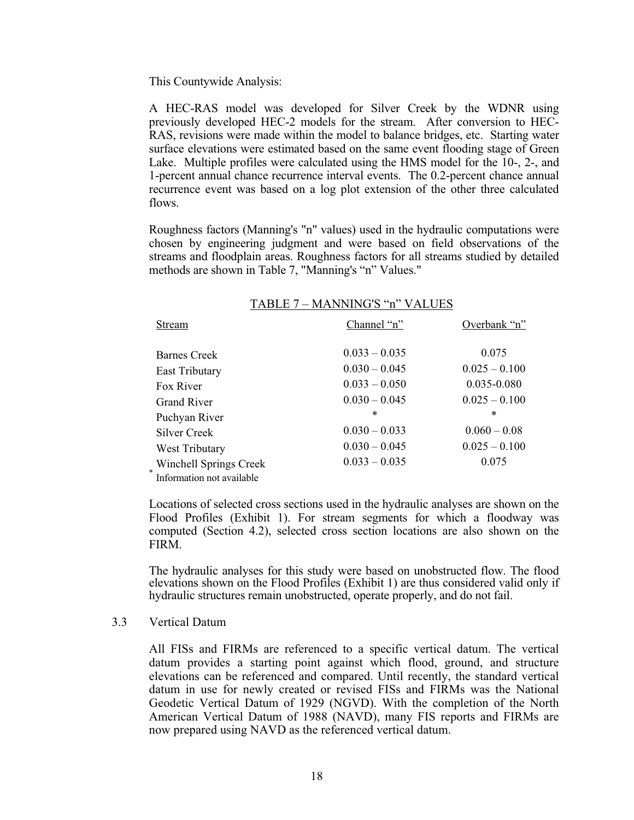<span id="page-21-0"></span>This Countywide Analysis:

A HEC-RAS model was developed for Silver Creek by the WDNR using previously developed HEC-2 models for the stream. After conversion to HEC-RAS, revisions were made within the model to balance bridges, etc. Starting water surface elevations were estimated based on the same event flooding stage of Green Lake. Multiple profiles were calculated using the HMS model for the 10-, 2-, and 1-percent annual chance recurrence interval events. The 0.2-percent chance annual recurrence event was based on a log plot extension of the other three calculated flows.

Roughness factors (Manning's "n" values) used in the hydraulic computations were chosen by engineering judgment and were based on field observations of the streams and floodplain areas. Roughness factors for all streams studied by detailed methods are shown in Table 7, "Manning's "n" Values."

|                                                     | TABLE 7 - MANNING'S "n" VALUES |                 |
|-----------------------------------------------------|--------------------------------|-----------------|
| Stream                                              | Channel "n"                    | Overbank "n"    |
| Barnes Creek                                        | $0.033 - 0.035$                | 0.075           |
| East Tributary                                      | $0.030 - 0.045$                | $0.025 - 0.100$ |
| Fox River                                           | $0.033 - 0.050$                | $0.035 - 0.080$ |
| <b>Grand River</b>                                  | $0.030 - 0.045$                | $0.025 - 0.100$ |
| Puchyan River                                       | $\ast$                         | $\ast$          |
| Silver Creek                                        | $0.030 - 0.033$                | $0.060 - 0.08$  |
| West Tributary                                      | $0.030 - 0.045$                | $0.025 - 0.100$ |
| Winchell Springs Creek<br>Information not available | $0.033 - 0.035$                | 0.075           |

Locations of selected cross sections used in the hydraulic analyses are shown on the Flood Profiles (Exhibit 1). For stream segments for which a floodway was computed (Section 4.2), selected cross section locations are also shown on the FIRM.

The hydraulic analyses for this study were based on unobstructed flow. The flood elevations shown on the Flood Profiles (Exhibit 1) are thus considered valid only if hydraulic structures remain unobstructed, operate properly, and do not fail.

#### 3.3 Vertical Datum

All FISs and FIRMs are referenced to a specific vertical datum. The vertical datum provides a starting point against which flood, ground, and structure elevations can be referenced and compared. Until recently, the standard vertical datum in use for newly created or revised FISs and FIRMs was the National Geodetic Vertical Datum of 1929 (NGVD). With the completion of the North American Vertical Datum of 1988 (NAVD), many FIS reports and FIRMs are now prepared using NAVD as the referenced vertical datum.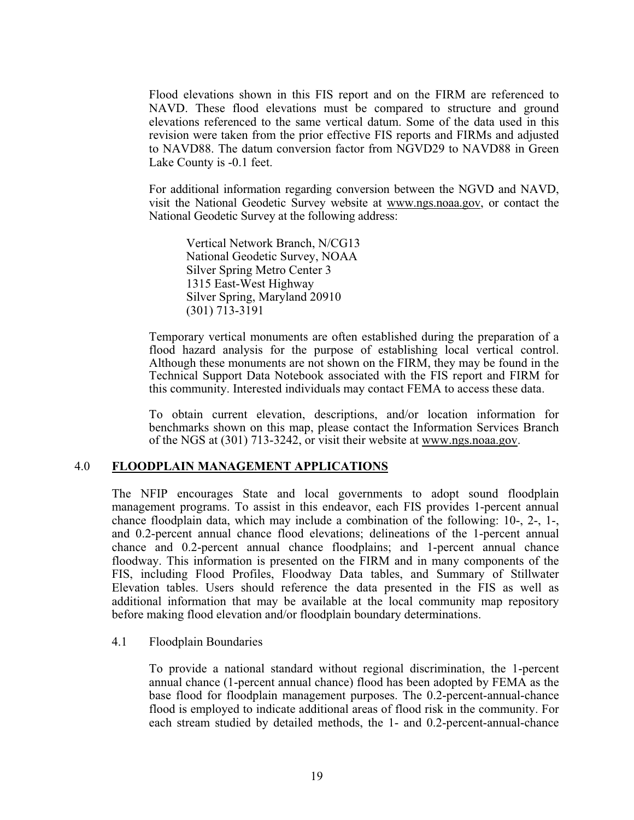<span id="page-22-0"></span>Flood elevations shown in this FIS report and on the FIRM are referenced to NAVD. These flood elevations must be compared to structure and ground elevations referenced to the same vertical datum. Some of the data used in this revision were taken from the prior effective FIS reports and FIRMs and adjusted to NAVD88. The datum conversion factor from NGVD29 to NAVD88 in Green Lake County is -0.1 feet.

For additional information regarding conversion between the NGVD and NAVD, visit the National Geodetic Survey website at www.ngs.noaa.gov, or contact the National Geodetic Survey at the following address:

Vertical Network Branch, N/CG13 National Geodetic Survey, NOAA Silver Spring Metro Center 3 1315 East-West Highway Silver Spring, Maryland 20910 (301) 713-3191

Temporary vertical monuments are often established during the preparation of a flood hazard analysis for the purpose of establishing local vertical control. Although these monuments are not shown on the FIRM, they may be found in the Technical Support Data Notebook associated with the FIS report and FIRM for this community. Interested individuals may contact FEMA to access these data.

To obtain current elevation, descriptions, and/or location information for benchmarks shown on this map, please contact the Information Services Branch of the NGS at (301) 713-3242, or visit their website at www.ngs.noaa.gov.

#### 4.0 **FLOODPLAIN MANAGEMENT APPLICATIONS**

The NFIP encourages State and local governments to adopt sound floodplain management programs. To assist in this endeavor, each FIS provides 1-percent annual chance floodplain data, which may include a combination of the following: 10-, 2-, 1-, and 0.2-percent annual chance flood elevations; delineations of the 1-percent annual chance and 0.2-percent annual chance floodplains; and 1-percent annual chance floodway. This information is presented on the FIRM and in many components of the FIS, including Flood Profiles, Floodway Data tables, and Summary of Stillwater Elevation tables. Users should reference the data presented in the FIS as well as additional information that may be available at the local community map repository before making flood elevation and/or floodplain boundary determinations.

#### 4.1 Floodplain Boundaries

To provide a national standard without regional discrimination, the 1-percent annual chance (1-percent annual chance) flood has been adopted by FEMA as the base flood for floodplain management purposes. The 0.2-percent-annual-chance flood is employed to indicate additional areas of flood risk in the community. For each stream studied by detailed methods, the 1- and 0.2-percent-annual-chance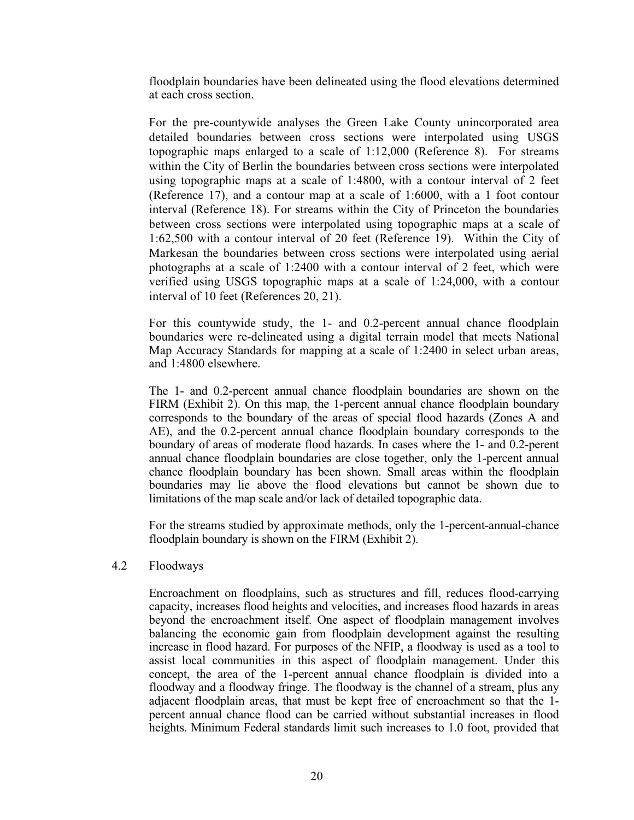<span id="page-23-0"></span>floodplain boundaries have been delineated using the flood elevations determined at each cross section.

For the pre-countywide analyses the Green Lake County unincorporated area detailed boundaries between cross sections were interpolated using USGS topographic maps enlarged to a scale of 1:12,000 (Reference 8). For streams within the City of Berlin the boundaries between cross sections were interpolated using topographic maps at a scale of 1:4800, with a contour interval of 2 feet (Reference 17), and a contour map at a scale of 1:6000, with a 1 foot contour interval (Reference 18). For streams within the City of Princeton the boundaries between cross sections were interpolated using topographic maps at a scale of 1:62,500 with a contour interval of 20 feet (Reference 19). Within the City of Markesan the boundaries between cross sections were interpolated using aerial photographs at a scale of 1:2400 with a contour interval of 2 feet, which were verified using USGS topographic maps at a scale of 1:24,000, with a contour interval of 10 feet (References 20, 21).

For this countywide study, the 1- and 0.2-percent annual chance floodplain boundaries were re-delineated using a digital terrain model that meets National Map Accuracy Standards for mapping at a scale of 1:2400 in select urban areas, and 1:4800 elsewhere.

The 1- and 0.2-percent annual chance floodplain boundaries are shown on the FIRM (Exhibit 2). On this map, the 1-percent annual chance floodplain boundary corresponds to the boundary of the areas of special flood hazards (Zones A and AE), and the 0.2-percent annual chance floodplain boundary corresponds to the boundary of areas of moderate flood hazards. In cases where the 1- and 0.2-perent annual chance floodplain boundaries are close together, only the 1-percent annual chance floodplain boundary has been shown. Small areas within the floodplain boundaries may lie above the flood elevations but cannot be shown due to limitations of the map scale and/or lack of detailed topographic data.

For the streams studied by approximate methods, only the 1-percent-annual-chance floodplain boundary is shown on the FIRM (Exhibit 2).

#### 4.2 Floodways

Encroachment on floodplains, such as structures and fill, reduces flood-carrying capacity, increases flood heights and velocities, and increases flood hazards in areas beyond the encroachment itself. One aspect of floodplain management involves balancing the economic gain from floodplain development against the resulting increase in flood hazard. For purposes of the NFIP, a floodway is used as a tool to assist local communities in this aspect of floodplain management. Under this concept, the area of the 1-percent annual chance floodplain is divided into a floodway and a floodway fringe. The floodway is the channel of a stream, plus any adjacent floodplain areas, that must be kept free of encroachment so that the 1 percent annual chance flood can be carried without substantial increases in flood heights. Minimum Federal standards limit such increases to 1.0 foot, provided that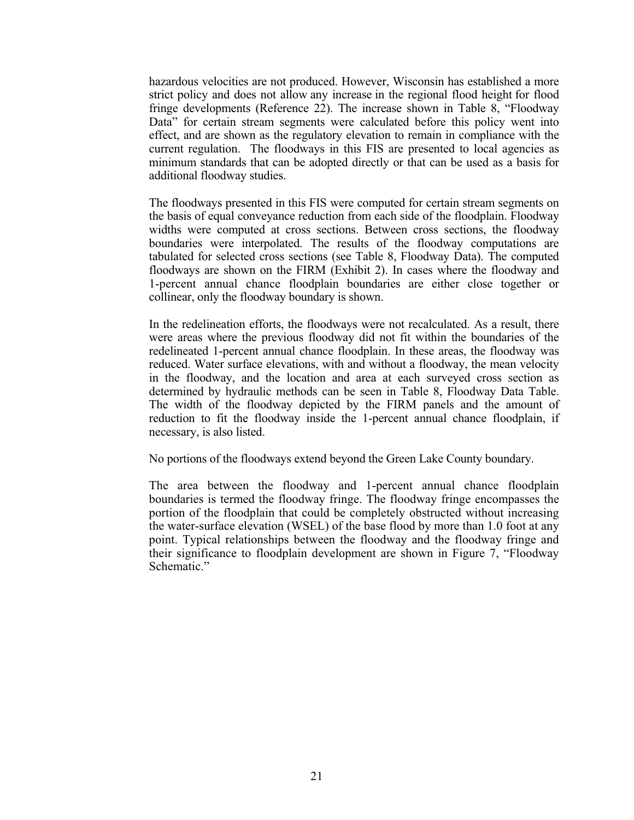hazardous velocities are not produced. However, Wisconsin has established a more strict policy and does not allow any increase in the regional flood height for flood fringe developments (Reference 22). The increase shown in Table 8, "Floodway Data" for certain stream segments were calculated before this policy went into effect, and are shown as the regulatory elevation to remain in compliance with the current regulation. The floodways in this FIS are presented to local agencies as minimum standards that can be adopted directly or that can be used as a basis for additional floodway studies.

The floodways presented in this FIS were computed for certain stream segments on the basis of equal conveyance reduction from each side of the floodplain. Floodway widths were computed at cross sections. Between cross sections, the floodway boundaries were interpolated. The results of the floodway computations are tabulated for selected cross sections (see Table 8, Floodway Data). The computed floodways are shown on the FIRM (Exhibit 2). In cases where the floodway and 1-percent annual chance floodplain boundaries are either close together or collinear, only the floodway boundary is shown.

In the redelineation efforts, the floodways were not recalculated. As a result, there were areas where the previous floodway did not fit within the boundaries of the redelineated 1-percent annual chance floodplain. In these areas, the floodway was reduced. Water surface elevations, with and without a floodway, the mean velocity in the floodway, and the location and area at each surveyed cross section as determined by hydraulic methods can be seen in Table 8, Floodway Data Table. The width of the floodway depicted by the FIRM panels and the amount of reduction to fit the floodway inside the 1-percent annual chance floodplain, if necessary, is also listed.

No portions of the floodways extend beyond the Green Lake County boundary.

The area between the floodway and 1-percent annual chance floodplain boundaries is termed the floodway fringe. The floodway fringe encompasses the portion of the floodplain that could be completely obstructed without increasing the water-surface elevation (WSEL) of the base flood by more than 1.0 foot at any point. Typical relationships between the floodway and the floodway fringe and their significance to floodplain development are shown in Figure 7, "Floodway Schematic."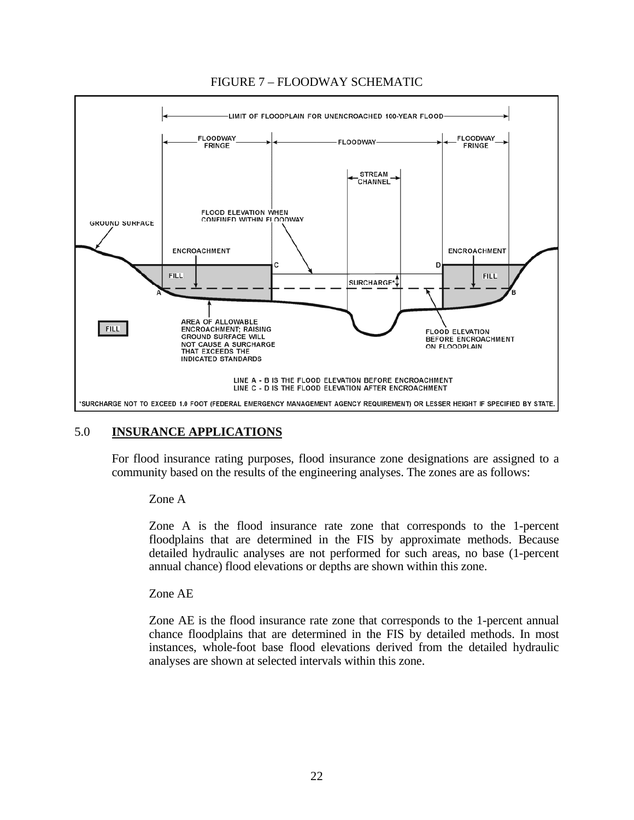<span id="page-25-0"></span>

## FIGURE 7 – FLOODWAY SCHEMATIC

# 5.0 **INSURANCE APPLICATIONS**

For flood insurance rating purposes, flood insurance zone designations are assigned to a community based on the results of the engineering analyses. The zones are as follows:

#### Zone A

Zone A is the flood insurance rate zone that corresponds to the 1-percent floodplains that are determined in the FIS by approximate methods. Because detailed hydraulic analyses are not performed for such areas, no base (1-percent annual chance) flood elevations or depths are shown within this zone.

#### Zone AE

Zone AE is the flood insurance rate zone that corresponds to the 1-percent annual chance floodplains that are determined in the FIS by detailed methods. In most instances, whole-foot base flood elevations derived from the detailed hydraulic analyses are shown at selected intervals within this zone.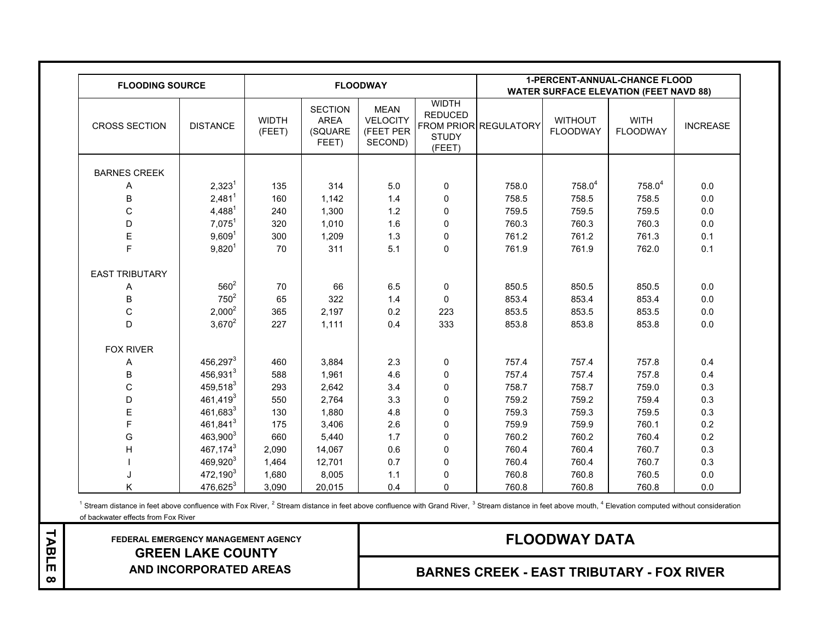<span id="page-26-0"></span>

| <b>FLOODING SOURCE</b> |                      |                        |                                            | <b>FLOODWAY</b>                                        |                                                          | <b>1-PERCENT-ANNUAL-CHANCE FLOOD</b><br><b>WATER SURFACE ELEVATION (FEET NAVD 88)</b> |                                   |                                |                 |
|------------------------|----------------------|------------------------|--------------------------------------------|--------------------------------------------------------|----------------------------------------------------------|---------------------------------------------------------------------------------------|-----------------------------------|--------------------------------|-----------------|
| <b>CROSS SECTION</b>   | <b>DISTANCE</b>      | <b>WIDTH</b><br>(FEET) | <b>SECTION</b><br>AREA<br>(SQUARE<br>FEET) | <b>MEAN</b><br><b>VELOCITY</b><br>(FEET PER<br>SECOND) | <b>WIDTH</b><br><b>REDUCED</b><br><b>STUDY</b><br>(FEET) | FROM PRIOR REGULATORY                                                                 | <b>WITHOUT</b><br><b>FLOODWAY</b> | <b>WITH</b><br><b>FLOODWAY</b> | <b>INCREASE</b> |
| <b>BARNES CREEK</b>    |                      |                        |                                            |                                                        |                                                          |                                                                                       |                                   |                                |                 |
| Α                      | 2,323 <sup>1</sup>   | 135                    | 314                                        | $5.0$                                                  | 0                                                        | 758.0                                                                                 | $758.0^4$                         | $758.0^4$                      | 0.0             |
| B                      | $2,481^1$            | 160                    | 1,142                                      | 1.4                                                    | $\mathbf 0$                                              | 758.5                                                                                 | 758.5                             | 758.5                          | 0.0             |
| $\mathsf{C}$           | $4,488^1$            | 240                    | 1,300                                      | 1.2                                                    | 0                                                        | 759.5                                                                                 | 759.5                             | 759.5                          | 0.0             |
| D                      | $7,075^1$            | 320                    | 1,010                                      | 1.6                                                    | $\mathbf 0$                                              | 760.3                                                                                 | 760.3                             | 760.3                          | 0.0             |
| E                      | 9,609 <sup>1</sup>   | 300                    | 1,209                                      | 1.3                                                    | 0                                                        | 761.2                                                                                 | 761.2                             | 761.3                          | 0.1             |
| F                      | $9,820^{1}$          | 70                     | 311                                        | 5.1                                                    | $\mathbf 0$                                              | 761.9                                                                                 | 761.9                             | 762.0                          | 0.1             |
| <b>EAST TRIBUTARY</b>  |                      |                        |                                            |                                                        |                                                          |                                                                                       |                                   |                                |                 |
| Α                      | $560^2$              | 70                     | 66                                         | 6.5                                                    | 0                                                        | 850.5                                                                                 | 850.5                             | 850.5                          | 0.0             |
| B                      | $750^2$              | 65                     | 322                                        | 1.4                                                    | $\mathbf 0$                                              | 853.4                                                                                 | 853.4                             | 853.4                          | 0.0             |
| $\mathsf C$            | $2,000^2$            | 365                    | 2,197                                      | $0.2\,$                                                | 223                                                      | 853.5                                                                                 | 853.5                             | 853.5                          | $0.0\,$         |
| D                      | $3,670^2$            | 227                    | 1,111                                      | 0.4                                                    | 333                                                      | 853.8                                                                                 | 853.8                             | 853.8                          | 0.0             |
| <b>FOX RIVER</b>       |                      |                        |                                            |                                                        |                                                          |                                                                                       |                                   |                                |                 |
| Α                      | 456,297 <sup>3</sup> | 460                    | 3,884                                      | 2.3                                                    | 0                                                        | 757.4                                                                                 | 757.4                             | 757.8                          | 0.4             |
| B                      | 456,931 <sup>3</sup> | 588                    | 1,961                                      | 4.6                                                    | $\pmb{0}$                                                | 757.4                                                                                 | 757.4                             | 757.8                          | 0.4             |
| $\mathsf C$            | $459,518^3$          | 293                    | 2,642                                      | 3.4                                                    | 0                                                        | 758.7                                                                                 | 758.7                             | 759.0                          | 0.3             |
| D                      | $461,419^3$          | 550                    | 2,764                                      | 3.3                                                    | 0                                                        | 759.2                                                                                 | 759.2                             | 759.4                          | 0.3             |
| Ε                      | $461,683^3$          | 130                    | 1,880                                      | 4.8                                                    | 0                                                        | 759.3                                                                                 | 759.3                             | 759.5                          | 0.3             |
| F                      | 461,841 <sup>3</sup> | 175                    | 3,406                                      | 2.6                                                    | $\mathbf 0$                                              | 759.9                                                                                 | 759.9                             | 760.1                          | 0.2             |
| G                      | $463,900^3$          | 660                    | 5,440                                      | 1.7                                                    | 0                                                        | 760.2                                                                                 | 760.2                             | 760.4                          | 0.2             |
| H                      | 467,1743             | 2,090                  | 14,067                                     | 0.6                                                    | 0                                                        | 760.4                                                                                 | 760.4                             | 760.7                          | 0.3             |
|                        | 469,920 <sup>3</sup> | 1,464                  | 12,701                                     | 0.7                                                    | $\mathbf 0$                                              | 760.4                                                                                 | 760.4                             | 760.7                          | 0.3             |
|                        | 472,190 <sup>3</sup> | 1,680                  | 8,005                                      | $1.1$                                                  | 0                                                        | 760.8                                                                                 | 760.8                             | 760.5                          | $0.0\,$         |
| Κ                      | $476,625^3$          | 3,090                  | 20,015                                     | 0.4                                                    | $\mathbf 0$                                              | 760.8                                                                                 | 760.8                             | 760.8                          | 0.0             |

of backwater effects from Fox River <sup>1</sup> Stream distance in feet above confluence with Fox River,  $^2$  Stream distance in feet above confluence with Grand River,  $^3$  Stream distance in feet above mouth,  $^4$  Elevation computed without consideration

 **FEDERAL EMERGENCY MANAGEMENT AGENCY GREEN LAKE COUNTY AND INCORPORATED AREAS**

TABLE 8 **TABLE 8**

# **FLOODWAY DATA**

**BARNES CREEK - EAST TRIBUTARY - FOX RIVER**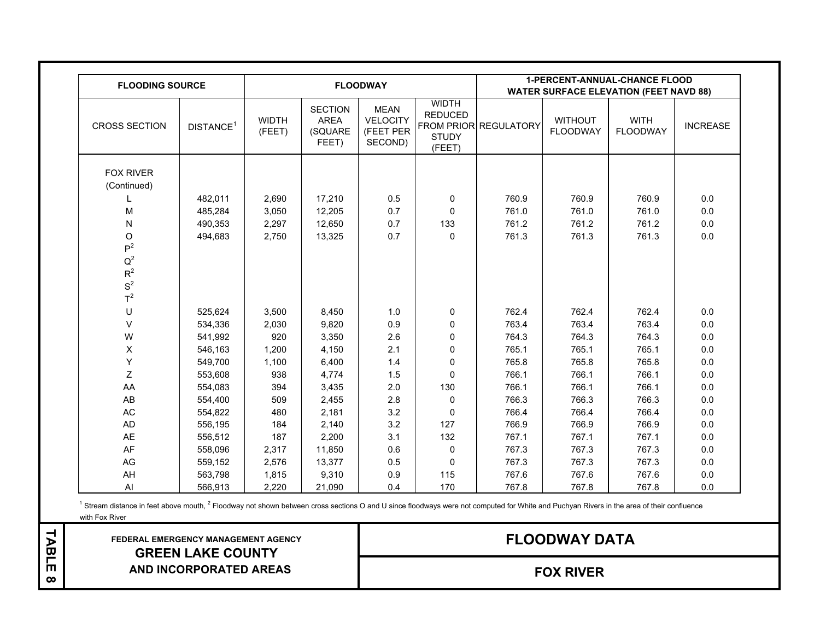| <b>FLOODING SOURCE</b>                           |                       |                        |                                                   | <b>FLOODWAY</b>                                        |                                                          | <b>1-PERCENT-ANNUAL-CHANCE FLOOD</b><br><b>WATER SURFACE ELEVATION (FEET NAVD 88)</b> |                                   |                                |                 |
|--------------------------------------------------|-----------------------|------------------------|---------------------------------------------------|--------------------------------------------------------|----------------------------------------------------------|---------------------------------------------------------------------------------------|-----------------------------------|--------------------------------|-----------------|
| <b>CROSS SECTION</b>                             | DISTANCE <sup>1</sup> | <b>WIDTH</b><br>(FEET) | <b>SECTION</b><br><b>AREA</b><br>(SQUARE<br>FEET) | <b>MEAN</b><br><b>VELOCITY</b><br>(FEET PER<br>SECOND) | <b>WIDTH</b><br><b>REDUCED</b><br><b>STUDY</b><br>(FEET) | FROM PRIOR REGULATORY                                                                 | <b>WITHOUT</b><br><b>FLOODWAY</b> | <b>WITH</b><br><b>FLOODWAY</b> | <b>INCREASE</b> |
| <b>FOX RIVER</b><br>(Continued)                  |                       |                        |                                                   |                                                        |                                                          |                                                                                       |                                   |                                |                 |
|                                                  | 482,011               | 2,690                  | 17,210                                            | 0.5                                                    | 0                                                        | 760.9                                                                                 | 760.9                             | 760.9                          | 0.0             |
| M                                                | 485,284               | 3,050                  | 12,205                                            | 0.7                                                    | $\mathbf 0$                                              | 761.0                                                                                 | 761.0                             | 761.0                          | $0.0\,$         |
| ${\sf N}$                                        | 490,353               | 2,297                  | 12,650                                            | 0.7                                                    | 133                                                      | 761.2                                                                                 | 761.2                             | 761.2                          | $0.0\,$         |
| O<br>P <sup>2</sup>                              | 494,683               | 2,750                  | 13,325                                            | 0.7                                                    | $\mathbf 0$                                              | 761.3                                                                                 | 761.3                             | 761.3                          | 0.0             |
| $\mathsf{Q}^2$<br>$R^2$<br>$\mbox{S}^2$<br>$T^2$ |                       |                        |                                                   |                                                        |                                                          |                                                                                       |                                   |                                |                 |
| U                                                | 525,624               | 3,500                  | 8,450                                             | 1.0                                                    | 0                                                        | 762.4                                                                                 | 762.4                             | 762.4                          | $0.0\,$         |
| $\vee$                                           | 534,336               | 2,030                  | 9,820                                             | 0.9                                                    | 0                                                        | 763.4                                                                                 | 763.4                             | 763.4                          | 0.0             |
| W                                                | 541,992               | 920                    | 3,350                                             | 2.6                                                    | 0                                                        | 764.3                                                                                 | 764.3                             | 764.3                          | 0.0             |
| X                                                | 546,163               | 1,200                  | 4,150                                             | 2.1                                                    | $\pmb{0}$                                                | 765.1                                                                                 | 765.1                             | 765.1                          | $0.0\,$         |
| Υ                                                | 549,700               | 1,100                  | 6,400                                             | 1.4                                                    | $\pmb{0}$                                                | 765.8                                                                                 | 765.8                             | 765.8                          | $0.0\,$         |
| Z                                                | 553,608               | 938                    | 4,774                                             | 1.5                                                    | $\mathbf{0}$                                             | 766.1                                                                                 | 766.1                             | 766.1                          | 0.0             |
| AA                                               | 554,083               | 394                    | 3,435                                             | 2.0                                                    | 130                                                      | 766.1                                                                                 | 766.1                             | 766.1                          | $0.0\,$         |
| AB                                               | 554,400               | 509                    | 2,455                                             | 2.8                                                    | 0                                                        | 766.3                                                                                 | 766.3                             | 766.3                          | 0.0             |
| $\mathsf{AC}$                                    | 554,822               | 480                    | 2,181                                             | $3.2\,$                                                | $\mathbf{0}$                                             | 766.4                                                                                 | 766.4                             | 766.4                          | $0.0\,$         |
| AD                                               | 556,195               | 184                    | 2,140                                             | 3.2                                                    | 127                                                      | 766.9                                                                                 | 766.9                             | 766.9                          | 0.0             |
| AE                                               | 556,512               | 187                    | 2,200                                             | 3.1                                                    | 132                                                      | 767.1                                                                                 | 767.1                             | 767.1                          | 0.0             |
| AF                                               | 558,096               | 2,317                  | 11,850                                            | 0.6                                                    | 0                                                        | 767.3                                                                                 | 767.3                             | 767.3                          | 0.0             |
| AG                                               | 559,152               | 2,576                  | 13,377                                            | 0.5                                                    | $\mathbf 0$                                              | 767.3                                                                                 | 767.3                             | 767.3                          | $0.0\,$         |
| AH                                               | 563,798               | 1,815                  | 9,310                                             | 0.9                                                    | 115                                                      | 767.6                                                                                 | 767.6                             | 767.6                          | $0.0\,$         |
| Al                                               | 566,913               | 2,220                  | 21,090                                            | 0.4                                                    | 170                                                      | 767.8                                                                                 | 767.8                             | 767.8                          | $0.0\,$         |

with Fox River <sup>1</sup> Stream distance in feet above mouth, <sup>2</sup> Floodway not shown between cross sections O and U since floodways were not computed for White and Puchyan Rivers in the area of their confluence

 **FEDERAL EMERGENCY MANAGEMENT AGENCY GREEN LAKE COUNTY AND INCORPORATED AREAS**

TABLE8 **TABLE 8**

**FLOODWAY DATA**

**FOX RIVER**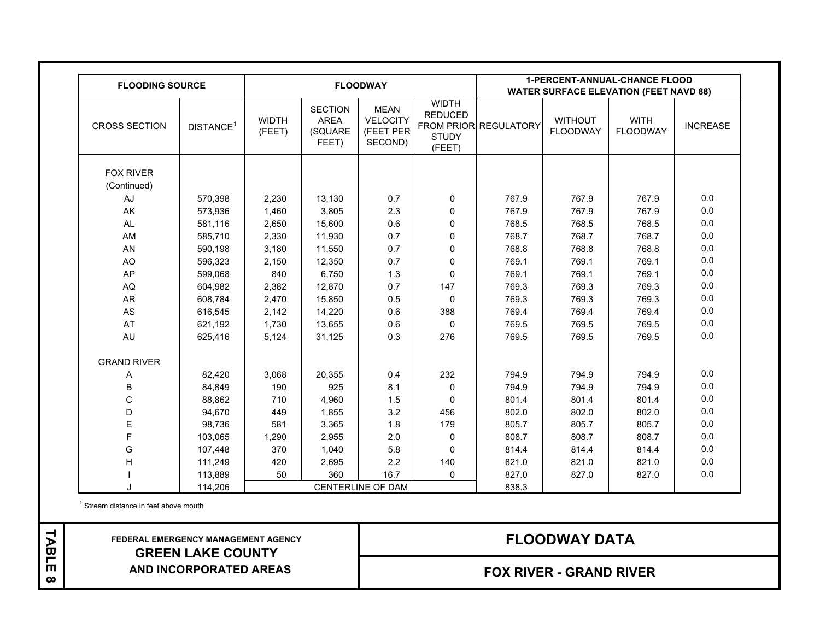| <b>FLOODING SOURCE</b> |                       |                        |                                                   | <b>FLOODWAY</b>                                        |                                                          |                       |                                   | <b>1-PERCENT-ANNUAL-CHANCE FLOOD</b><br><b>WATER SURFACE ELEVATION (FEET NAVD 88)</b> |                 |
|------------------------|-----------------------|------------------------|---------------------------------------------------|--------------------------------------------------------|----------------------------------------------------------|-----------------------|-----------------------------------|---------------------------------------------------------------------------------------|-----------------|
| <b>CROSS SECTION</b>   | DISTANCE <sup>1</sup> | <b>WIDTH</b><br>(FEET) | <b>SECTION</b><br><b>AREA</b><br>(SQUARE<br>FEET) | <b>MEAN</b><br><b>VELOCITY</b><br>(FEET PER<br>SECOND) | <b>WIDTH</b><br><b>REDUCED</b><br><b>STUDY</b><br>(FEET) | FROM PRIOR REGULATORY | <b>WITHOUT</b><br><b>FLOODWAY</b> | <b>WITH</b><br><b>FLOODWAY</b>                                                        | <b>INCREASE</b> |
| <b>FOX RIVER</b>       |                       |                        |                                                   |                                                        |                                                          |                       |                                   |                                                                                       |                 |
| (Continued)            |                       |                        |                                                   |                                                        |                                                          |                       |                                   |                                                                                       |                 |
| AJ                     | 570,398               | 2,230                  | 13,130                                            | 0.7                                                    | $\mathbf 0$                                              | 767.9                 | 767.9                             | 767.9                                                                                 | 0.0             |
| AK                     | 573,936               | 1,460                  | 3,805                                             | 2.3                                                    | $\mathbf 0$                                              | 767.9                 | 767.9                             | 767.9                                                                                 | 0.0             |
| AL                     | 581,116               | 2,650                  | 15,600                                            | 0.6                                                    | $\mathbf 0$                                              | 768.5                 | 768.5                             | 768.5                                                                                 | 0.0             |
| AM                     | 585,710               | 2,330                  | 11,930                                            | 0.7                                                    | $\mathbf 0$                                              | 768.7                 | 768.7                             | 768.7                                                                                 | 0.0             |
| AN                     | 590,198               | 3,180                  | 11,550                                            | 0.7                                                    | $\mathbf 0$                                              | 768.8                 | 768.8                             | 768.8                                                                                 | $0.0\,$         |
| <b>AO</b>              | 596,323               | 2,150                  | 12,350                                            | 0.7                                                    | $\mathbf{0}$                                             | 769.1                 | 769.1                             | 769.1                                                                                 | 0.0             |
| AP                     | 599,068               | 840                    | 6,750                                             | 1.3                                                    | $\Omega$                                                 | 769.1                 | 769.1                             | 769.1                                                                                 | 0.0             |
| AQ                     | 604,982               | 2,382                  | 12,870                                            | 0.7                                                    | 147                                                      | 769.3                 | 769.3                             | 769.3                                                                                 | 0.0             |
| AR                     | 608,784               | 2,470                  | 15,850                                            | 0.5                                                    | $\mathbf{0}$                                             | 769.3                 | 769.3                             | 769.3                                                                                 | $0.0\,$         |
| AS                     | 616,545               | 2,142                  | 14,220                                            | 0.6                                                    | 388                                                      | 769.4                 | 769.4                             | 769.4                                                                                 | 0.0             |
| AT                     | 621,192               | 1,730                  | 13,655                                            | 0.6                                                    | $\mathbf{0}$                                             | 769.5                 | 769.5                             | 769.5                                                                                 | 0.0             |
| AU                     | 625,416               | 5,124                  | 31,125                                            | 0.3                                                    | 276                                                      | 769.5                 | 769.5                             | 769.5                                                                                 | 0.0             |
| <b>GRAND RIVER</b>     |                       |                        |                                                   |                                                        |                                                          |                       |                                   |                                                                                       |                 |
| Α                      | 82,420                | 3,068                  | 20,355                                            | 0.4                                                    | 232                                                      | 794.9                 | 794.9                             | 794.9                                                                                 | 0.0             |
| В                      | 84,849                | 190                    | 925                                               | 8.1                                                    | $\mathbf{0}$                                             | 794.9                 | 794.9                             | 794.9                                                                                 | 0.0             |
| C                      | 88,862                | 710                    | 4,960                                             | 1.5                                                    | $\Omega$                                                 | 801.4                 | 801.4                             | 801.4                                                                                 | 0.0             |
| D                      | 94,670                | 449                    | 1,855                                             | 3.2                                                    | 456                                                      | 802.0                 | 802.0                             | 802.0                                                                                 | 0.0             |
| E                      | 98,736                | 581                    | 3,365                                             | 1.8                                                    | 179                                                      | 805.7                 | 805.7                             | 805.7                                                                                 | $0.0\,$         |
| F                      | 103,065               | 1,290                  | 2,955                                             | 2.0                                                    | 0                                                        | 808.7                 | 808.7                             | 808.7                                                                                 | $0.0\,$         |
| G                      | 107,448               | 370                    | 1,040                                             | 5.8                                                    | $\mathbf{0}$                                             | 814.4                 | 814.4                             | 814.4                                                                                 | 0.0             |
| $\mathsf{H}$           | 111,249               | 420                    | 2,695                                             | 2.2                                                    | 140                                                      | 821.0                 | 821.0                             | 821.0                                                                                 | $0.0\,$         |
|                        | 113,889               | 50                     | 360                                               | 16.7                                                   | $\mathbf 0$                                              | 827.0                 | 827.0                             | 827.0                                                                                 | $0.0\,$         |
| J                      | 114,206               |                        |                                                   | CENTERLINE OF DAM                                      |                                                          | 838.3                 |                                   |                                                                                       |                 |

<sup>1</sup> Stream distance in feet above mouth

TABLE 8 **TABLE 8**

## **FEDERAL EMERGENCY MANAGEMENT AGENCY GREEN LAKE COUNTY AND INCORPORATED AREAS**

## **FOX RIVER - GRAND RIVER**

# **FLOODWAY DATA**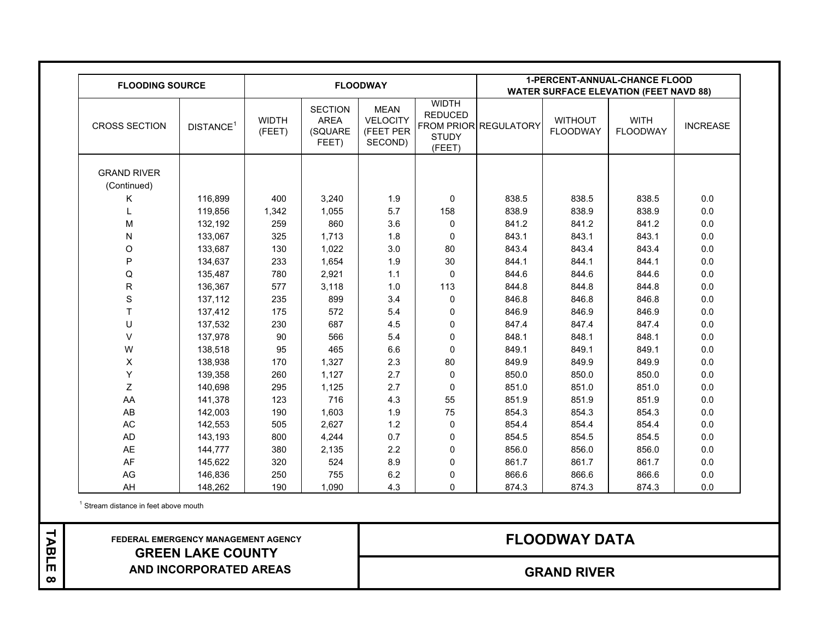| <b>FLOODING SOURCE</b>            |                       |                        |                                                   | <b>FLOODWAY</b>                                        |                                                          | <b>1-PERCENT-ANNUAL-CHANCE FLOOD</b><br><b>WATER SURFACE ELEVATION (FEET NAVD 88)</b> |                                   |                                |                 |
|-----------------------------------|-----------------------|------------------------|---------------------------------------------------|--------------------------------------------------------|----------------------------------------------------------|---------------------------------------------------------------------------------------|-----------------------------------|--------------------------------|-----------------|
| <b>CROSS SECTION</b>              | DISTANCE <sup>1</sup> | <b>WIDTH</b><br>(FEET) | <b>SECTION</b><br><b>AREA</b><br>(SQUARE<br>FEET) | <b>MEAN</b><br><b>VELOCITY</b><br>(FEET PER<br>SECOND) | <b>WIDTH</b><br><b>REDUCED</b><br><b>STUDY</b><br>(FEET) | FROM PRIOR REGULATORY                                                                 | <b>WITHOUT</b><br><b>FLOODWAY</b> | <b>WITH</b><br><b>FLOODWAY</b> | <b>INCREASE</b> |
| <b>GRAND RIVER</b><br>(Continued) |                       |                        |                                                   |                                                        |                                                          |                                                                                       |                                   |                                |                 |
| Κ                                 | 116,899               | 400                    | 3,240                                             | 1.9                                                    | $\mathbf{0}$                                             | 838.5                                                                                 | 838.5                             | 838.5                          | 0.0             |
|                                   | 119,856               | 1,342                  | 1,055                                             | 5.7                                                    | 158                                                      | 838.9                                                                                 | 838.9                             | 838.9                          | 0.0             |
| M                                 | 132,192               | 259                    | 860                                               | 3.6                                                    | 0                                                        | 841.2                                                                                 | 841.2                             | 841.2                          | 0.0             |
| N                                 | 133,067               | 325                    | 1,713                                             | 1.8                                                    | $\mathbf 0$                                              | 843.1                                                                                 | 843.1                             | 843.1                          | 0.0             |
| $\mathsf O$                       | 133,687               | 130                    | 1,022                                             | 3.0                                                    | 80                                                       | 843.4                                                                                 | 843.4                             | 843.4                          | $0.0\,$         |
| P                                 | 134,637               | 233                    | 1,654                                             | 1.9                                                    | 30                                                       | 844.1                                                                                 | 844.1                             | 844.1                          | 0.0             |
| Q                                 | 135,487               | 780                    | 2,921                                             | 1.1                                                    | $\mathbf{0}$                                             | 844.6                                                                                 | 844.6                             | 844.6                          | 0.0             |
| R                                 | 136,367               | 577                    | 3,118                                             | 1.0                                                    | 113                                                      | 844.8                                                                                 | 844.8                             | 844.8                          | 0.0             |
| $\mathsf S$                       | 137,112               | 235                    | 899                                               | 3.4                                                    | 0                                                        | 846.8                                                                                 | 846.8                             | 846.8                          | 0.0             |
| T.                                | 137,412               | 175                    | 572                                               | 5.4                                                    | 0                                                        | 846.9                                                                                 | 846.9                             | 846.9                          | $0.0\,$         |
| U                                 | 137,532               | 230                    | 687                                               | 4.5                                                    | 0                                                        | 847.4                                                                                 | 847.4                             | 847.4                          | 0.0             |
| $\vee$                            | 137,978               | 90                     | 566                                               | 5.4                                                    | 0                                                        | 848.1                                                                                 | 848.1                             | 848.1                          | 0.0             |
| W                                 | 138,518               | 95                     | 465                                               | 6.6                                                    | $\mathbf 0$                                              | 849.1                                                                                 | 849.1                             | 849.1                          | 0.0             |
| $\pmb{\times}$                    | 138,938               | 170                    | 1,327                                             | 2.3                                                    | 80                                                       | 849.9                                                                                 | 849.9                             | 849.9                          | $0.0\,$         |
| Y                                 | 139,358               | 260                    | 1,127                                             | 2.7                                                    | 0                                                        | 850.0                                                                                 | 850.0                             | 850.0                          | 0.0             |
| Z                                 | 140,698               | 295                    | 1,125                                             | 2.7                                                    | 0                                                        | 851.0                                                                                 | 851.0                             | 851.0                          | $0.0\,$         |
| AA                                | 141,378               | 123                    | 716                                               | 4.3                                                    | 55                                                       | 851.9                                                                                 | 851.9                             | 851.9                          | 0.0             |
| AB                                | 142,003               | 190                    | 1,603                                             | 1.9                                                    | 75                                                       | 854.3                                                                                 | 854.3                             | 854.3                          | 0.0             |
| $\mathsf{AC}$                     | 142,553               | 505                    | 2,627                                             | 1.2                                                    | $\pmb{0}$                                                | 854.4                                                                                 | 854.4                             | 854.4                          | $0.0\,$         |
| AD                                | 143,193               | 800                    | 4,244                                             | 0.7                                                    | 0                                                        | 854.5                                                                                 | 854.5                             | 854.5                          | 0.0             |
| AE                                | 144,777               | 380                    | 2,135                                             | 2.2                                                    | 0                                                        | 856.0                                                                                 | 856.0                             | 856.0                          | 0.0             |
| AF                                | 145,622               | 320                    | 524                                               | 8.9                                                    | $\pmb{0}$                                                | 861.7                                                                                 | 861.7                             | 861.7                          | 0.0             |
| AG                                | 146,836               | 250                    | 755                                               | 6.2                                                    | 0                                                        | 866.6                                                                                 | 866.6                             | 866.6                          | $0.0\,$         |
| AH                                | 148,262               | 190                    | 1,090                                             | 4.3                                                    | $\Omega$                                                 | 874.3                                                                                 | 874.3                             | 874.3                          | 0.0             |

<sup>1</sup> Stream distance in feet above mouth

TABLE 8 **TABLE 8**

 **FEDERAL EMERGENCY MANAGEMENT AGENCY GREEN LAKE COUNTY AND INCORPORATED AREAS**

# **FLOODWAY DATA**

**GRAND RIVER**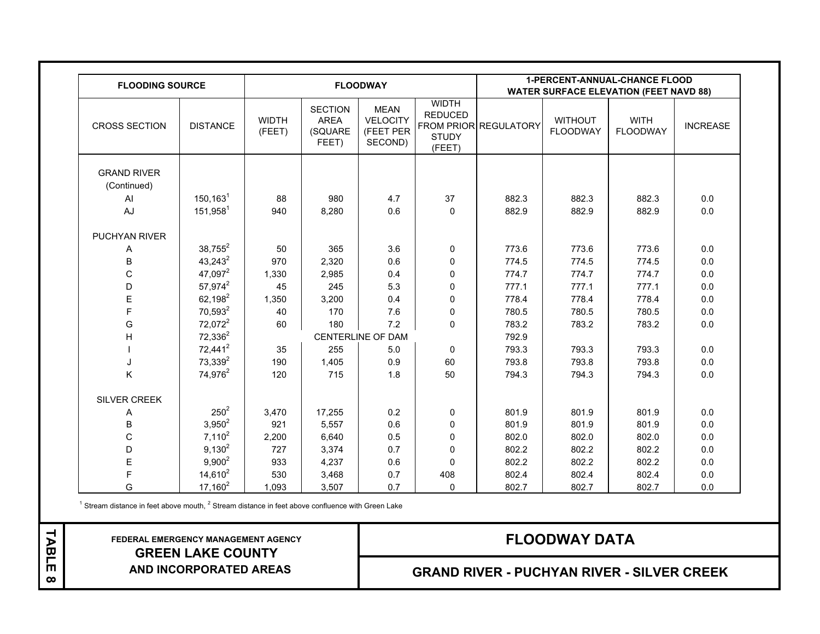| <b>FLOODING SOURCE</b>            |                        |                        |                                                   | <b>FLOODWAY</b>                                        |                                                          |                       |                                   | <b>1-PERCENT-ANNUAL-CHANCE FLOOD</b><br><b>WATER SURFACE ELEVATION (FEET NAVD 88)</b> |                 |
|-----------------------------------|------------------------|------------------------|---------------------------------------------------|--------------------------------------------------------|----------------------------------------------------------|-----------------------|-----------------------------------|---------------------------------------------------------------------------------------|-----------------|
| <b>CROSS SECTION</b>              | <b>DISTANCE</b>        | <b>WIDTH</b><br>(FEET) | <b>SECTION</b><br><b>AREA</b><br>(SQUARE<br>FEET) | <b>MEAN</b><br><b>VELOCITY</b><br>(FEET PER<br>SECOND) | <b>WIDTH</b><br><b>REDUCED</b><br><b>STUDY</b><br>(FEET) | FROM PRIOR REGULATORY | <b>WITHOUT</b><br><b>FLOODWAY</b> | <b>WITH</b><br><b>FLOODWAY</b>                                                        | <b>INCREASE</b> |
| <b>GRAND RIVER</b><br>(Continued) |                        |                        |                                                   |                                                        |                                                          |                       |                                   |                                                                                       |                 |
| AI                                | $150, 163^1$           | 88                     | 980                                               | 4.7                                                    | 37                                                       | 882.3                 | 882.3                             | 882.3                                                                                 | 0.0             |
| AJ                                | $151,958$ <sup>1</sup> | 940                    | 8,280                                             | 0.6                                                    | $\mathbf{0}$                                             | 882.9                 | 882.9                             | 882.9                                                                                 | 0.0             |
| PUCHYAN RIVER                     |                        |                        |                                                   |                                                        |                                                          |                       |                                   |                                                                                       |                 |
| Α                                 | $38,755^2$             | 50                     | 365                                               | 3.6                                                    | 0                                                        | 773.6                 | 773.6                             | 773.6                                                                                 | 0.0             |
| B                                 | $43,243^2$             | 970                    | 2,320                                             | 0.6                                                    | $\pmb{0}$                                                | 774.5                 | 774.5                             | 774.5                                                                                 | 0.0             |
| $\mathsf C$                       | $47,097^2$             | 1,330                  | 2,985                                             | 0.4                                                    | 0                                                        | 774.7                 | 774.7                             | 774.7                                                                                 | $0.0\,$         |
| D                                 | 57,974 <sup>2</sup>    | 45                     | 245                                               | 5.3                                                    | 0                                                        | 777.1                 | 777.1                             | 777.1                                                                                 | 0.0             |
| Ε                                 | $62,198^2$             | 1,350                  | 3,200                                             | 0.4                                                    | 0                                                        | 778.4                 | 778.4                             | 778.4                                                                                 | $0.0\,$         |
| F                                 | $70,593^2$             | 40                     | 170                                               | 7.6                                                    | $\pmb{0}$                                                | 780.5                 | 780.5                             | 780.5                                                                                 | $0.0\,$         |
| G                                 | 72,072 <sup>2</sup>    | 60                     | 180                                               | 7.2                                                    | $\mathbf{0}$                                             | 783.2                 | 783.2                             | 783.2                                                                                 | 0.0             |
| H                                 | $72,336^2$             |                        |                                                   | CENTERLINE OF DAM                                      |                                                          | 792.9                 |                                   |                                                                                       |                 |
|                                   | 72,441 <sup>2</sup>    | 35                     | 255                                               | 5.0                                                    | $\mathbf{0}$                                             | 793.3                 | 793.3                             | 793.3                                                                                 | 0.0             |
| J                                 | 73,339 <sup>2</sup>    | 190                    | 1,405                                             | 0.9                                                    | 60                                                       | 793.8                 | 793.8                             | 793.8                                                                                 | 0.0             |
| Κ                                 | 74,976 <sup>2</sup>    | 120                    | 715                                               | 1.8                                                    | 50                                                       | 794.3                 | 794.3                             | 794.3                                                                                 | 0.0             |
| SILVER CREEK                      |                        |                        |                                                   |                                                        |                                                          |                       |                                   |                                                                                       |                 |
| Α                                 | $250^2$                | 3,470                  | 17,255                                            | 0.2                                                    | 0                                                        | 801.9                 | 801.9                             | 801.9                                                                                 | 0.0             |
| B                                 | $3,950^2$              | 921                    | 5,557                                             | 0.6                                                    | $\mathbf 0$                                              | 801.9                 | 801.9                             | 801.9                                                                                 | 0.0             |
| $\mathsf C$                       | $7,110^2$              | 2,200                  | 6,640                                             | 0.5                                                    | 0                                                        | 802.0                 | 802.0                             | 802.0                                                                                 | 0.0             |
| D                                 | $9,130^2$              | 727                    | 3,374                                             | 0.7                                                    | $\mathbf 0$                                              | 802.2                 | 802.2                             | 802.2                                                                                 | $0.0\,$         |
| $\mathsf E$                       | $9,900^2$              | 933                    | 4,237                                             | 0.6                                                    | $\mathbf{0}$                                             | 802.2                 | 802.2                             | 802.2                                                                                 | $0.0\,$         |
| F                                 | $14,610^2$             | 530                    | 3,468                                             | 0.7                                                    | 408                                                      | 802.4                 | 802.4                             | 802.4                                                                                 | 0.0             |
| G                                 | $17,160^2$             | 1,093                  | 3,507                                             | 0.7                                                    | $\mathbf 0$                                              | 802.7                 | 802.7                             | 802.7                                                                                 | 0.0             |

 $1$  Stream distance in feet above mouth,  $2$  Stream distance in feet above confluence with Green Lake

 **FEDERAL EMERGENCY MANAGEMENT AGENCY GREEN LAKE COUNTY AND INCORPORATED AREAS**

TABLE 8 **TABLE 8**

# **FLOODWAY DATA**

**GRAND RIVER - PUCHYAN RIVER - SILVER CREEK**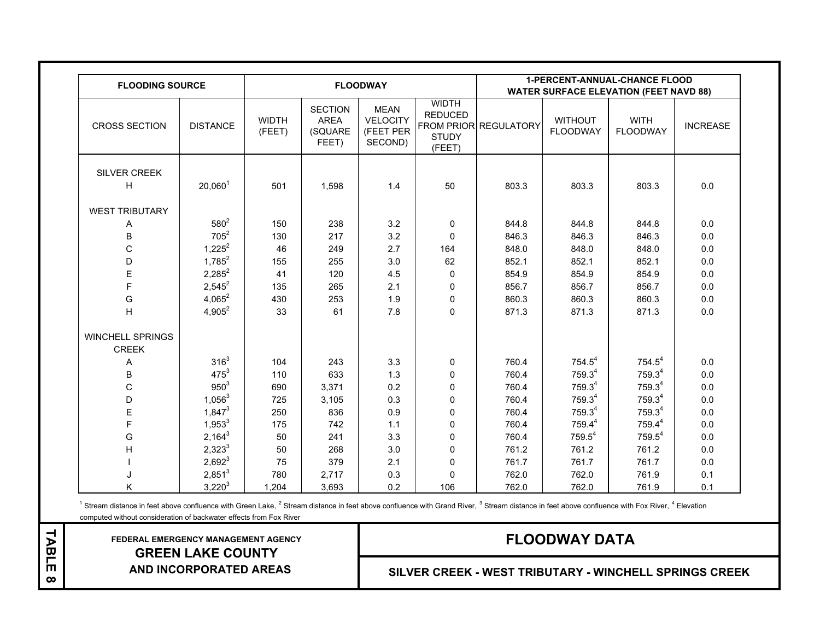| <b>FLOODING SOURCE</b>                  |                  |                        |                                                   | <b>FLOODWAY</b>                                        |                                                          | <b>1-PERCENT-ANNUAL-CHANCE FLOOD</b><br><b>WATER SURFACE ELEVATION (FEET NAVD 88)</b> |                                   |                                |                 |
|-----------------------------------------|------------------|------------------------|---------------------------------------------------|--------------------------------------------------------|----------------------------------------------------------|---------------------------------------------------------------------------------------|-----------------------------------|--------------------------------|-----------------|
| <b>CROSS SECTION</b>                    | <b>DISTANCE</b>  | <b>WIDTH</b><br>(FEET) | <b>SECTION</b><br><b>AREA</b><br>(SQUARE<br>FEET) | <b>MEAN</b><br><b>VELOCITY</b><br>(FEET PER<br>SECOND) | <b>WIDTH</b><br><b>REDUCED</b><br><b>STUDY</b><br>(FEET) | FROM PRIOR REGULATORY                                                                 | <b>WITHOUT</b><br><b>FLOODWAY</b> | <b>WITH</b><br><b>FLOODWAY</b> | <b>INCREASE</b> |
| SILVER CREEK                            |                  |                        |                                                   |                                                        |                                                          |                                                                                       |                                   |                                |                 |
| H                                       | $20,060^1$       | 501                    | 1,598                                             | 1.4                                                    | 50                                                       | 803.3                                                                                 | 803.3                             | 803.3                          | 0.0             |
|                                         |                  |                        |                                                   |                                                        |                                                          |                                                                                       |                                   |                                |                 |
| <b>WEST TRIBUTARY</b>                   |                  |                        |                                                   |                                                        |                                                          |                                                                                       |                                   |                                |                 |
| Α                                       | $580^{2}$        | 150                    | 238                                               | 3.2                                                    | 0                                                        | 844.8                                                                                 | 844.8                             | 844.8                          | 0.0             |
| B                                       | $705^2$          | 130                    | 217                                               | 3.2                                                    | $\mathbf 0$                                              | 846.3                                                                                 | 846.3                             | 846.3                          | $0.0\,$         |
| $\mathsf C$                             | $1,225^2$        | 46                     | 249                                               | 2.7                                                    | 164                                                      | 848.0                                                                                 | 848.0                             | 848.0                          | 0.0             |
| D                                       | $1,785^2$        | 155                    | 255                                               | 3.0                                                    | 62                                                       | 852.1                                                                                 | 852.1                             | 852.1                          | 0.0             |
| E                                       | $2,285^2$        | 41                     | 120                                               | 4.5                                                    | $\mathbf 0$                                              | 854.9                                                                                 | 854.9                             | 854.9                          | $0.0\,$         |
| F                                       | $2,545^2$        | 135                    | 265                                               | 2.1                                                    | 0                                                        | 856.7                                                                                 | 856.7                             | 856.7                          | 0.0             |
| G                                       | $4,065^2$        | 430                    | 253                                               | 1.9                                                    | 0                                                        | 860.3                                                                                 | 860.3                             | 860.3                          | 0.0             |
| $\overline{H}$                          | $4,905^2$        | 33                     | 61                                                | 7.8                                                    | $\mathbf 0$                                              | 871.3                                                                                 | 871.3                             | 871.3                          | 0.0             |
| <b>WINCHELL SPRINGS</b><br><b>CREEK</b> |                  |                        |                                                   |                                                        |                                                          |                                                                                       |                                   |                                |                 |
| Α                                       | 316 <sup>3</sup> | 104                    | 243                                               | 3.3                                                    | 0                                                        | 760.4                                                                                 | $754.5^4$                         | $754.5^4$                      | 0.0             |
| B                                       | $475^{3}$        | 110                    | 633                                               | 1.3                                                    | 0                                                        | 760.4                                                                                 | 759.3 <sup>4</sup>                | 759.3 <sup>4</sup>             | 0.0             |
| $\mathsf C$                             | $950^{3}$        | 690                    | 3,371                                             | $0.2\,$                                                | 0                                                        | 760.4                                                                                 | 759.3 <sup>4</sup>                | 759.34                         | $0.0\,$         |
| D                                       | $1,056^3$        | 725                    | 3,105                                             | 0.3                                                    | 0                                                        | 760.4                                                                                 | $759.3^4$                         | $759.3^4$                      | 0.0             |
| E                                       | $1,847^3$        | 250                    | 836                                               | 0.9                                                    | $\mathbf 0$                                              | 760.4                                                                                 | 759.34                            | 759.3 <sup>4</sup>             | 0.0             |
| F                                       | $1,953^3$        | 175                    | 742                                               | 1.1                                                    | $\mathbf 0$                                              | 760.4                                                                                 | 759.44                            | 759.44                         | $0.0\,$         |
| G                                       | $2,164^3$        | 50                     | 241                                               | 3.3                                                    | $\mathbf 0$                                              | 760.4                                                                                 | $759.5^4$                         | $759.5^4$                      | $0.0\,$         |
| H                                       | $2,323^3$        | 50                     | 268                                               | 3.0                                                    | 0                                                        | 761.2                                                                                 | 761.2                             | 761.2                          | 0.0             |
|                                         | $2,692^3$        | 75                     | 379                                               | 2.1                                                    | $\mathbf 0$                                              | 761.7                                                                                 | 761.7                             | 761.7                          | 0.0             |
|                                         | $2,851^3$        | 780                    | 2,717                                             | 0.3                                                    | $\Omega$                                                 | 762.0                                                                                 | 762.0                             | 761.9                          | 0.1             |
| Κ                                       | $3,220^3$        | 1,204                  | 3,693                                             | 0.2                                                    | 106                                                      | 762.0                                                                                 | 762.0                             | 761.9                          | 0.1             |

<sup>1</sup> Stream distance in feet above confluence with Green Lake, <sup>2</sup> Stream distance in feet above confluence with Grand River,  $3$  Stream distance in feet above confluence with Fox River,  $4$  Elevation

computed without consideration of backwater effects from Fox River

TABLE 8 **TABLE 8**

 **FEDERAL EMERGENCY MANAGEMENT AGENCY GREEN LAKE COUNTY AND INCORPORATED AREAS**

# **FLOODWAY DATA**

**SILVER CREEK - WEST TRIBUTARY - WINCHELL SPRINGS CREEK**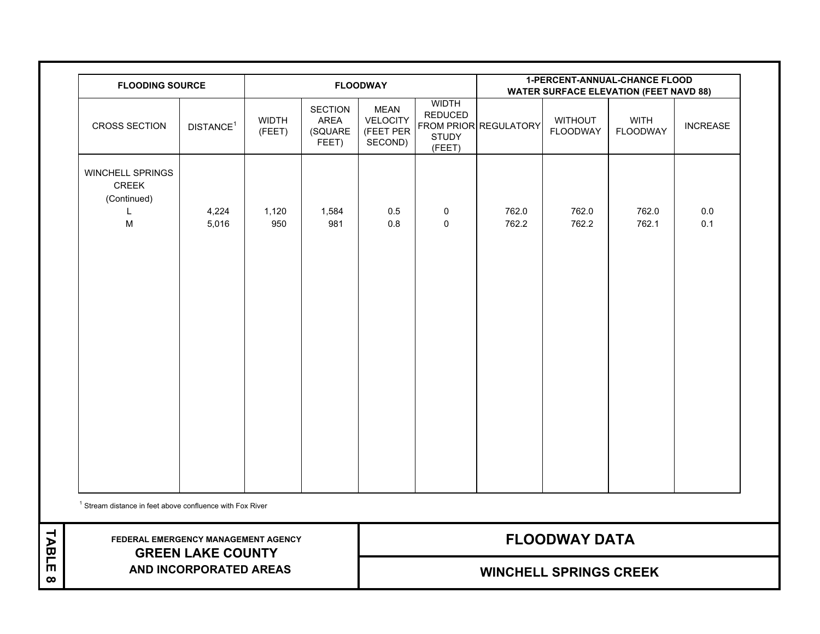| <b>FLOODING SOURCE</b><br><b>FLOODWAY</b>                       |                       |                        |                                                   |                                                        | <b>1-PERCENT-ANNUAL-CHANCE FLOOD</b><br><b>WATER SURFACE ELEVATION (FEET NAVD 88)</b> |                       |                                   |                                |                 |
|-----------------------------------------------------------------|-----------------------|------------------------|---------------------------------------------------|--------------------------------------------------------|---------------------------------------------------------------------------------------|-----------------------|-----------------------------------|--------------------------------|-----------------|
| <b>CROSS SECTION</b>                                            | DISTANCE <sup>1</sup> | <b>WIDTH</b><br>(FEET) | <b>SECTION</b><br><b>AREA</b><br>(SQUARE<br>FEET) | <b>MEAN</b><br><b>VELOCITY</b><br>(FEET PER<br>SECOND) | <b>WIDTH</b><br><b>REDUCED</b><br><b>STUDY</b><br>(FEET)                              | FROM PRIOR REGULATORY | <b>WITHOUT</b><br><b>FLOODWAY</b> | <b>WITH</b><br><b>FLOODWAY</b> | <b>INCREASE</b> |
| <b>WINCHELL SPRINGS</b><br><b>CREEK</b><br>(Continued)<br>M     | 4,224<br>5,016        | 1,120<br>950           | 1,584<br>981                                      | 0.5<br>0.8                                             | 0<br>$\mathbf{0}$                                                                     | 762.0<br>762.2        | 762.0<br>762.2                    | 762.0<br>762.1                 | 0.0<br>0.1      |
| $1$ Stream distance in feet above confluence with Fox River     |                       |                        |                                                   |                                                        |                                                                                       |                       |                                   |                                |                 |
| FEDERAL EMERGENCY MANAGEMENT AGENCY<br><b>GREEN LAKE COUNTY</b> | <b>FLOODWAY DATA</b>  |                        |                                                   |                                                        |                                                                                       |                       |                                   |                                |                 |
| AND INCORPORATED AREAS                                          |                       |                        | <b>WINCHELL SPRINGS CREEK</b>                     |                                                        |                                                                                       |                       |                                   |                                |                 |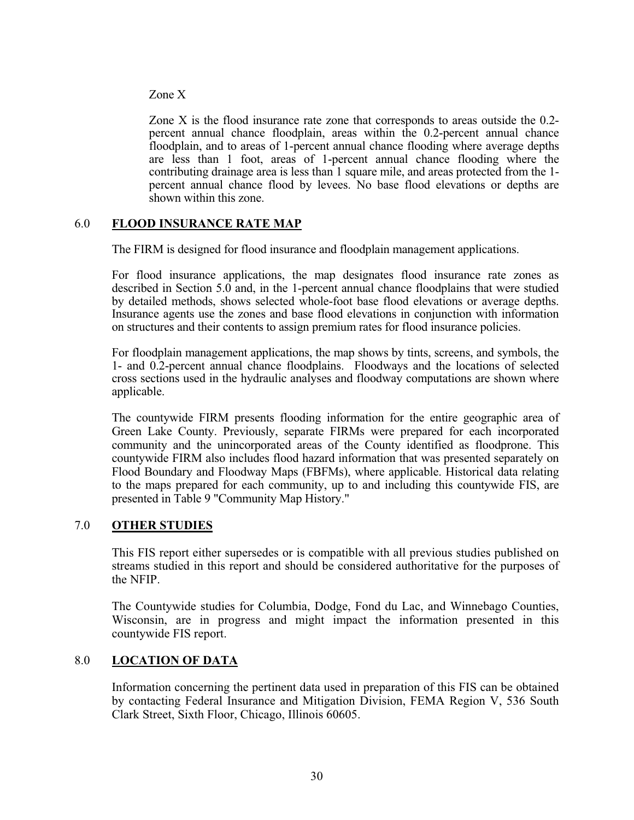## <span id="page-33-0"></span>Zone X

Zone X is the flood insurance rate zone that corresponds to areas outside the 0.2 percent annual chance floodplain, areas within the 0.2-percent annual chance floodplain, and to areas of 1-percent annual chance flooding where average depths are less than 1 foot, areas of 1-percent annual chance flooding where the contributing drainage area is less than 1 square mile, and areas protected from the 1 percent annual chance flood by levees. No base flood elevations or depths are shown within this zone.

## 6.0 **FLOOD INSURANCE RATE MAP**

The FIRM is designed for flood insurance and floodplain management applications.

For flood insurance applications, the map designates flood insurance rate zones as described in Section 5.0 and, in the 1-percent annual chance floodplains that were studied by detailed methods, shows selected whole-foot base flood elevations or average depths. Insurance agents use the zones and base flood elevations in conjunction with information on structures and their contents to assign premium rates for flood insurance policies.

For floodplain management applications, the map shows by tints, screens, and symbols, the 1- and 0.2-percent annual chance floodplains. Floodways and the locations of selected cross sections used in the hydraulic analyses and floodway computations are shown where applicable.

The countywide FIRM presents flooding information for the entire geographic area of Green Lake County. Previously, separate FIRMs were prepared for each incorporated community and the unincorporated areas of the County identified as floodprone. This countywide FIRM also includes flood hazard information that was presented separately on Flood Boundary and Floodway Maps (FBFMs), where applicable. Historical data relating to the maps prepared for each community, up to and including this countywide FIS, are presented in Table 9 "Community Map History."

#### 7.0 **OTHER STUDIES**

This FIS report either supersedes or is compatible with all previous studies published on streams studied in this report and should be considered authoritative for the purposes of the NFIP.

The Countywide studies for Columbia, Dodge, Fond du Lac, and Winnebago Counties, Wisconsin, are in progress and might impact the information presented in this countywide FIS report.

# 8.0 **LOCATION OF DATA**

Information concerning the pertinent data used in preparation of this FIS can be obtained by contacting Federal Insurance and Mitigation Division, FEMA Region V, 536 South Clark Street, Sixth Floor, Chicago, Illinois 60605.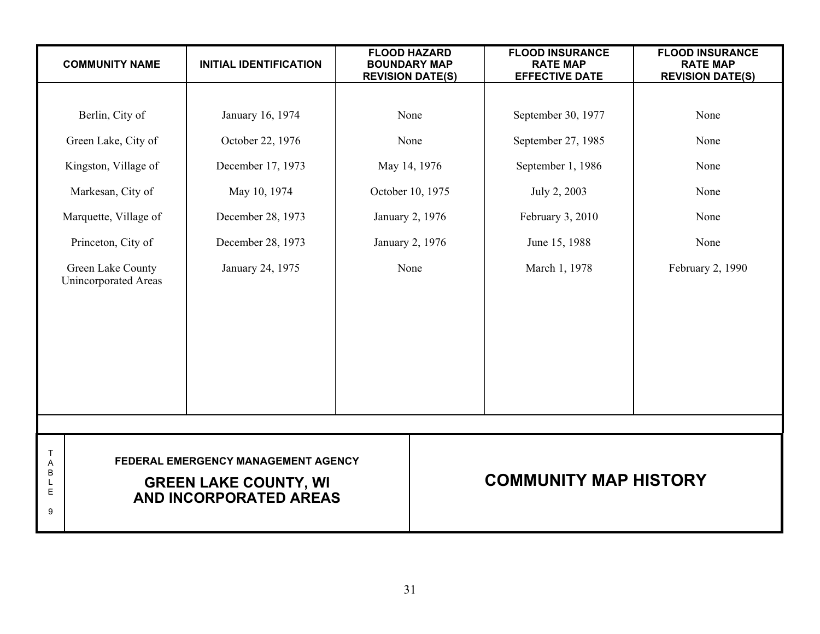<span id="page-34-0"></span>

|                            | <b>COMMUNITY NAME</b>                     | <b>INITIAL IDENTIFICATION</b>                                                                        | <b>FLOOD HAZARD</b><br><b>BOUNDARY MAP</b><br><b>REVISION DATE(S)</b> | <b>FLOOD INSURANCE</b><br><b>RATE MAP</b><br><b>EFFECTIVE DATE</b> | <b>FLOOD INSURANCE</b><br><b>RATE MAP</b><br><b>REVISION DATE(S)</b> |  |  |
|----------------------------|-------------------------------------------|------------------------------------------------------------------------------------------------------|-----------------------------------------------------------------------|--------------------------------------------------------------------|----------------------------------------------------------------------|--|--|
|                            |                                           |                                                                                                      |                                                                       |                                                                    |                                                                      |  |  |
|                            | Berlin, City of                           | January 16, 1974                                                                                     | None                                                                  | September 30, 1977                                                 | None                                                                 |  |  |
|                            | Green Lake, City of                       | October 22, 1976                                                                                     | None                                                                  | September 27, 1985                                                 | None                                                                 |  |  |
|                            | Kingston, Village of                      | December 17, 1973                                                                                    | May 14, 1976                                                          | September 1, 1986                                                  | None                                                                 |  |  |
|                            | Markesan, City of                         | May 10, 1974                                                                                         | October 10, 1975                                                      | July 2, 2003                                                       | None                                                                 |  |  |
|                            | Marquette, Village of                     | December 28, 1973                                                                                    | January 2, 1976                                                       | February 3, 2010                                                   | None                                                                 |  |  |
|                            | Princeton, City of                        | December 28, 1973                                                                                    | January 2, 1976<br>June 15, 1988                                      |                                                                    | None                                                                 |  |  |
|                            | Green Lake County<br>Unincorporated Areas | January 24, 1975                                                                                     | None                                                                  | March 1, 1978                                                      | February 2, 1990                                                     |  |  |
|                            |                                           |                                                                                                      |                                                                       |                                                                    |                                                                      |  |  |
|                            |                                           |                                                                                                      |                                                                       |                                                                    |                                                                      |  |  |
| Т<br>Α<br>B<br>L<br>E<br>g |                                           | FEDERAL EMERGENCY MANAGEMENT AGENCY<br><b>GREEN LAKE COUNTY, WI</b><br><b>AND INCORPORATED AREAS</b> | <b>COMMUNITY MAP HISTORY</b>                                          |                                                                    |                                                                      |  |  |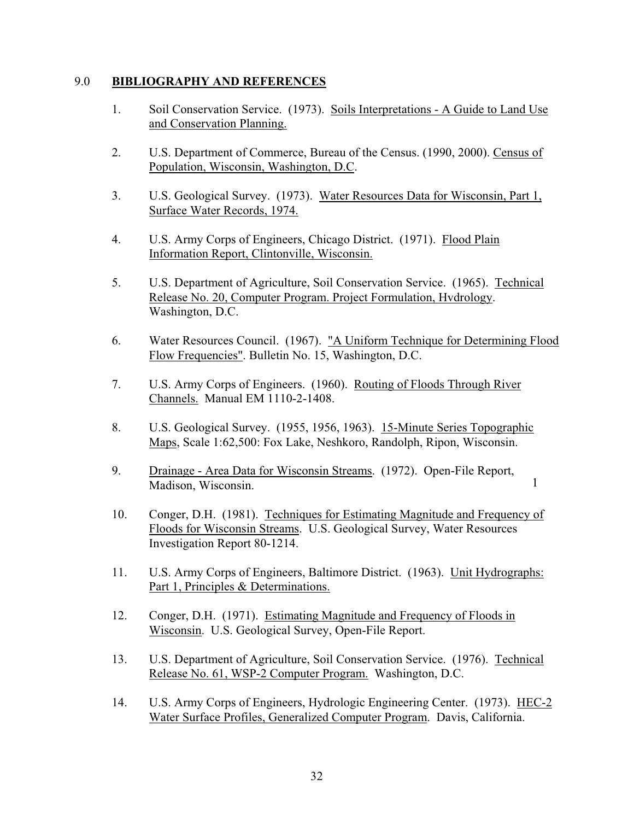# <span id="page-35-0"></span>9.0 **BIBLIOGRAPHY AND REFERENCES**

- 1. Soil Conservation Service. (1973). Soils Interpretations A Guide to Land Use and Conservation Planning.
- 2. U.S. Department of Commerce, Bureau of the Census. (1990, 2000). Census of Population, Wisconsin, Washington, D.C.
- 3. U.S. Geological Survey. (1973). Water Resources Data for Wisconsin, Part 1, Surface Water Records, 1974.
- 4. U.S. Army Corps of Engineers, Chicago District. (1971). Flood Plain Information Report, Clintonville, Wisconsin.
- 5. U.S. Department of Agriculture, Soil Conservation Service. (1965). Technical Release No. 20, Computer Program. Project Formulation, Hvdrology. Washington, D.C.
- 6. Water Resources Council. (1967). "A Uniform Technique for Determining Flood Flow Frequencies". Bulletin No. 15, Washington, D.C.
- 7. U.S. Army Corps of Engineers. (1960). Routing of Floods Through River Channels. Manual EM 1110-2-1408.
- 8. U.S. Geological Survey. (1955, 1956, 1963). 15-Minute Series Topographic Maps, Scale 1:62,500: Fox Lake, Neshkoro, Randolph, Ripon, Wisconsin.
- 9. Drainage Area Data for Wisconsin Streams. (1972). Open-File Report, Madison, Wisconsin.

1

- 10. Conger, D.H. (1981). Techniques for Estimating Magnitude and Frequency of Floods for Wisconsin Streams. U.S. Geological Survey, Water Resources Investigation Report 80-1214.
- 11. U.S. Army Corps of Engineers, Baltimore District. (1963). Unit Hydrographs: Part 1, Principles & Determinations.
- 12. Conger, D.H. (1971). Estimating Magnitude and Frequency of Floods in Wisconsin. U.S. Geological Survey, Open-File Report.
- 13. U.S. Department of Agriculture, Soil Conservation Service. (1976). Technical Release No. 61, WSP-2 Computer Program. Washington, D.C.
- 14. U.S. Army Corps of Engineers, Hydrologic Engineering Center. (1973). HEC-2 Water Surface Profiles, Generalized Computer Program. Davis, California.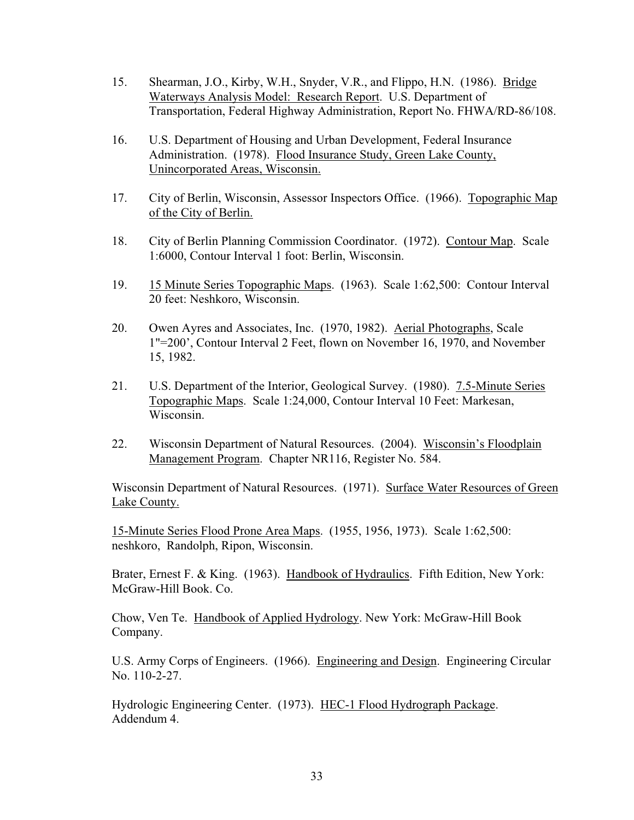- 15. Shearman, J.O., Kirby, W.H., Snyder, V.R., and Flippo, H.N. (1986). Bridge Waterways Analysis Model: Research Report. U.S. Department of Transportation, Federal Highway Administration, Report No. FHWA/RD-86/108.
- 16. U.S. Department of Housing and Urban Development, Federal Insurance Administration. (1978). Flood Insurance Study, Green Lake County, Unincorporated Areas, Wisconsin.
- 17. City of Berlin, Wisconsin, Assessor Inspectors Office. (1966). Topographic Map of the City of Berlin.
- 18. City of Berlin Planning Commission Coordinator. (1972). Contour Map. Scale 1:6000, Contour Interval 1 foot: Berlin, Wisconsin.
- 19. 15 Minute Series Topographic Maps. (1963). Scale 1:62,500: Contour Interval 20 feet: Neshkoro, Wisconsin.
- 20. Owen Ayres and Associates, Inc. (1970, 1982). Aerial Photographs, Scale 1"=200', Contour Interval 2 Feet, flown on November 16, 1970, and November 15, 1982.
- 21. U.S. Department of the Interior, Geological Survey. (1980). 7.5-Minute Series Topographic Maps. Scale 1:24,000, Contour Interval 10 Feet: Markesan, Wisconsin.
- 22. Wisconsin Department of Natural Resources. (2004). Wisconsin's Floodplain Management Program. Chapter NR116, Register No. 584.

Wisconsin Department of Natural Resources. (1971). Surface Water Resources of Green Lake County.

15-Minute Series Flood Prone Area Maps. (1955, 1956, 1973). Scale 1:62,500: neshkoro, Randolph, Ripon, Wisconsin.

Brater, Ernest F. & King. (1963). Handbook of Hydraulics. Fifth Edition, New York: McGraw-Hill Book. Co.

Chow, Ven Te. Handbook of Applied Hydrology. New York: McGraw-Hill Book Company.

U.S. Army Corps of Engineers. (1966). Engineering and Design. Engineering Circular No. 110-2-27.

Hydrologic Engineering Center. (1973). HEC-1 Flood Hydrograph Package. Addendum 4.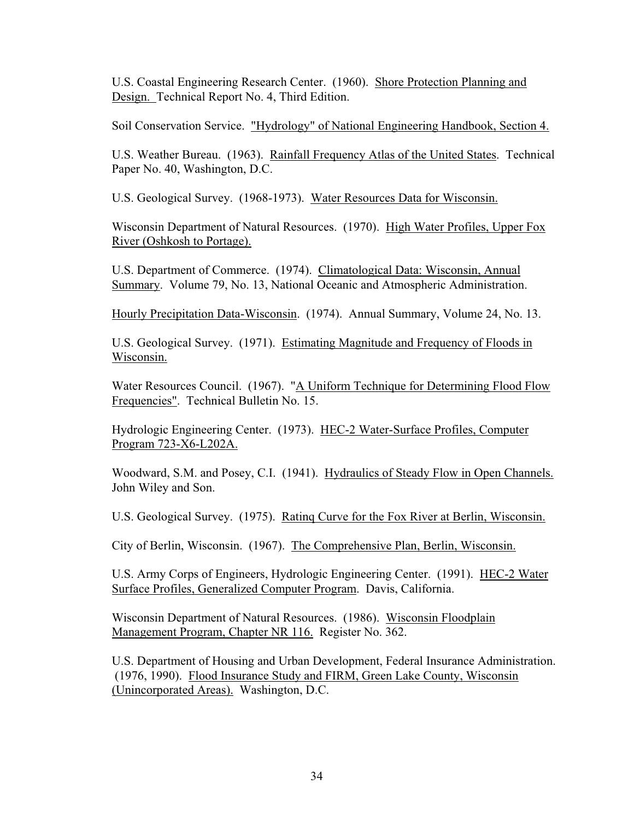U.S. Coastal Engineering Research Center. (1960). Shore Protection Planning and Design. Technical Report No. 4, Third Edition.

Soil Conservation Service. "Hydrology" of National Engineering Handbook, Section 4.

U.S. Weather Bureau. (1963). Rainfall Frequency Atlas of the United States. Technical Paper No. 40, Washington, D.C.

U.S. Geological Survey. (1968-1973). Water Resources Data for Wisconsin.

Wisconsin Department of Natural Resources. (1970). High Water Profiles, Upper Fox River (Oshkosh to Portage).

U.S. Department of Commerce. (1974). Climatological Data: Wisconsin, Annual Summary. Volume 79, No. 13, National Oceanic and Atmospheric Administration.

Hourly Precipitation Data-Wisconsin. (1974). Annual Summary, Volume 24, No. 13.

U.S. Geological Survey. (1971). Estimating Magnitude and Frequency of Floods in Wisconsin.

Water Resources Council. (1967). "A Uniform Technique for Determining Flood Flow Frequencies". Technical Bulletin No. 15.

Hydrologic Engineering Center. (1973). HEC-2 Water-Surface Profiles, Computer Program 723-X6-L202A.

Woodward, S.M. and Posey, C.I. (1941). Hydraulics of Steady Flow in Open Channels. John Wiley and Son.

U.S. Geological Survey. (1975). Ratinq Curve for the Fox River at Berlin, Wisconsin.

City of Berlin, Wisconsin. (1967). The Comprehensive Plan, Berlin, Wisconsin.

U.S. Army Corps of Engineers, Hydrologic Engineering Center. (1991). HEC-2 Water Surface Profiles, Generalized Computer Program. Davis, California.

Wisconsin Department of Natural Resources. (1986). Wisconsin Floodplain Management Program, Chapter NR 116. Register No. 362.

U.S. Department of Housing and Urban Development, Federal Insurance Administration. (1976, 1990). Flood Insurance Study and FIRM, Green Lake County, Wisconsin (Unincorporated Areas). Washington, D.C.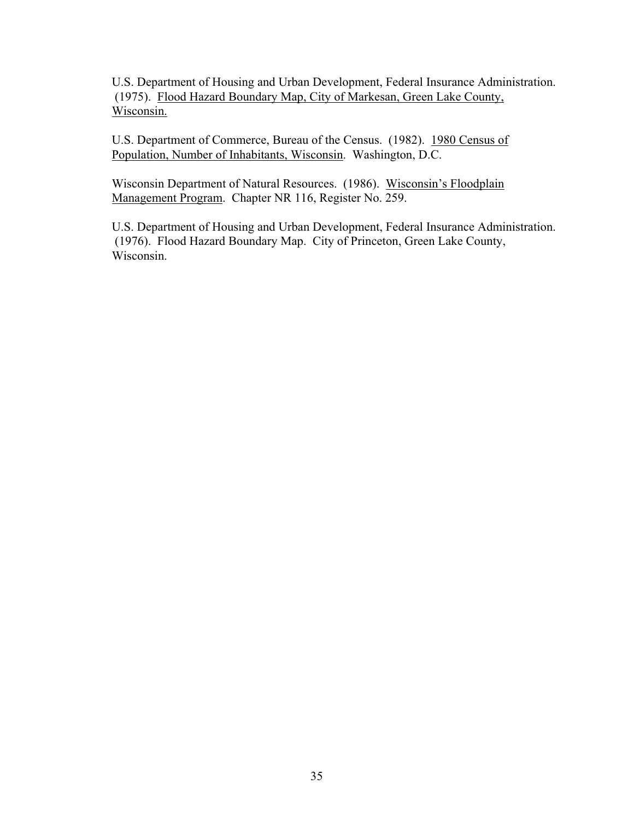U.S. Department of Housing and Urban Development, Federal Insurance Administration. (1975). Flood Hazard Boundary Map, City of Markesan, Green Lake County, Wisconsin.

U.S. Department of Commerce, Bureau of the Census. (1982). 1980 Census of Population, Number of Inhabitants, Wisconsin. Washington, D.C.

Wisconsin Department of Natural Resources. (1986). Wisconsin's Floodplain Management Program. Chapter NR 116, Register No. 259.

U.S. Department of Housing and Urban Development, Federal Insurance Administration. (1976). Flood Hazard Boundary Map. City of Princeton, Green Lake County, Wisconsin.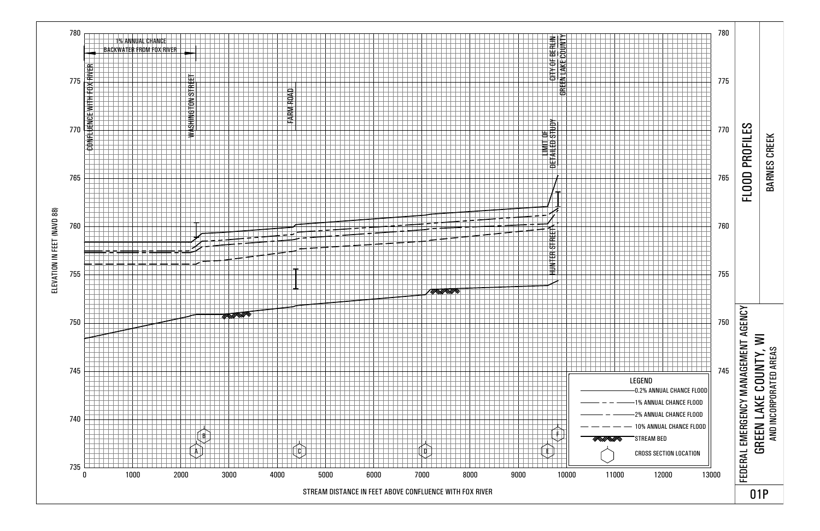<span id="page-39-0"></span>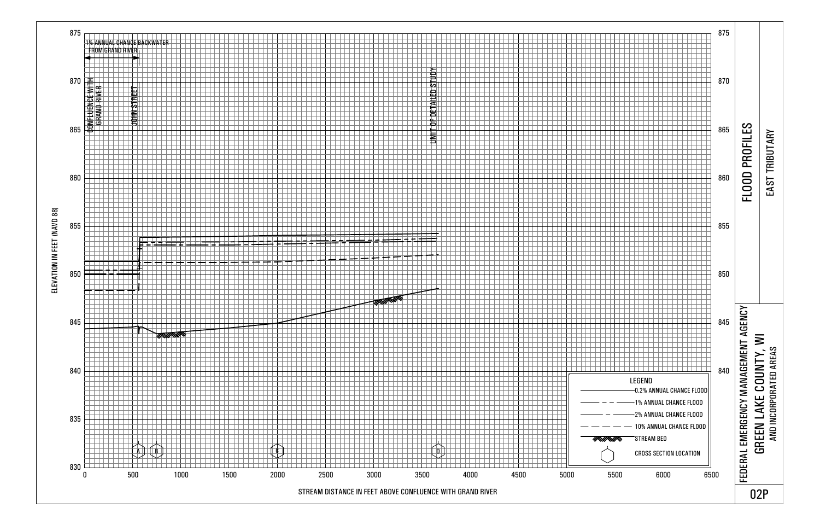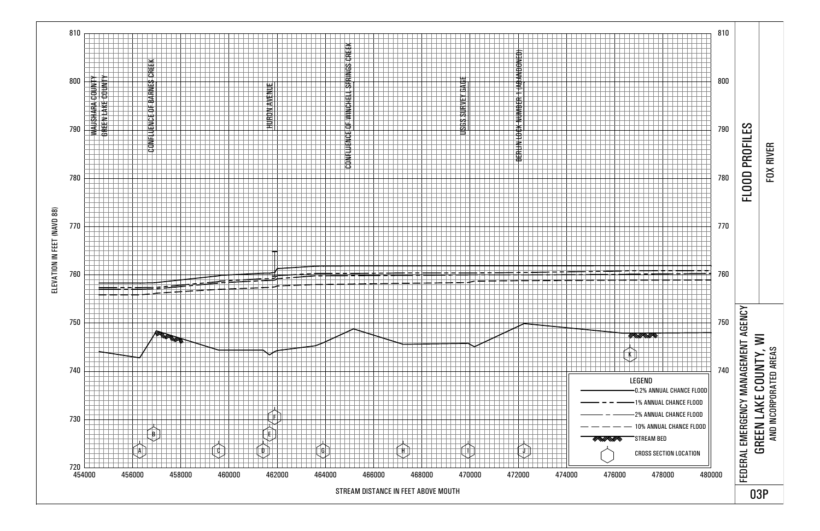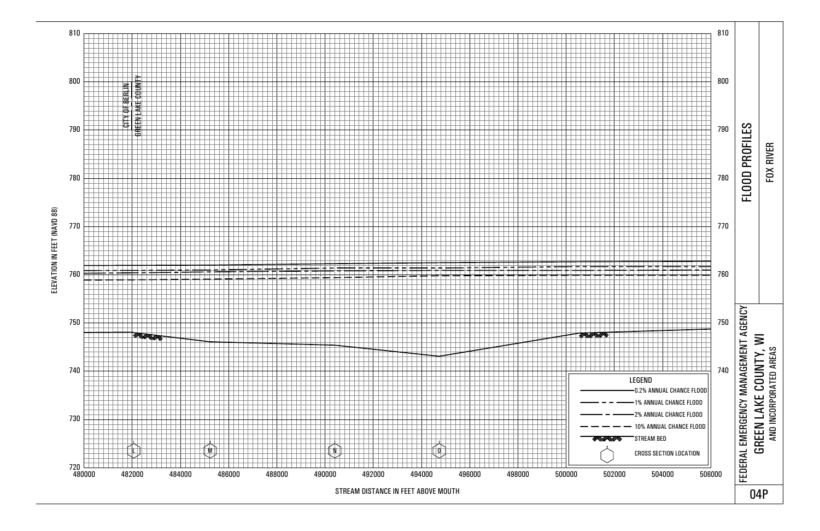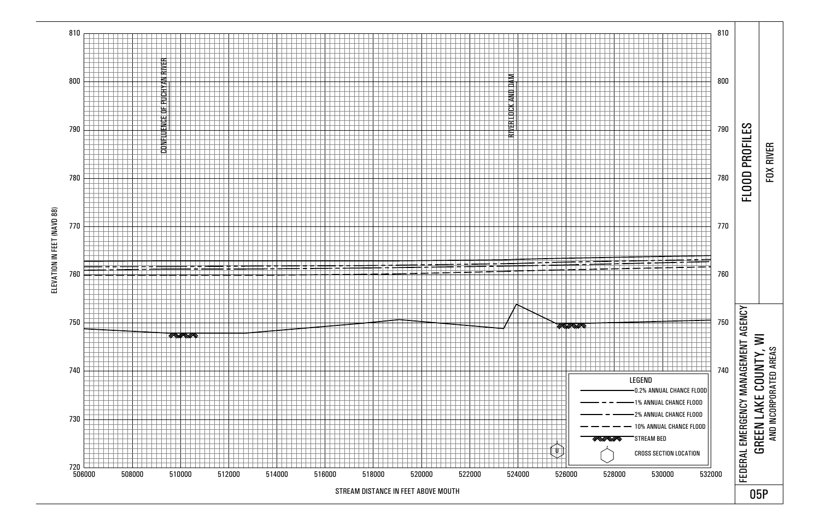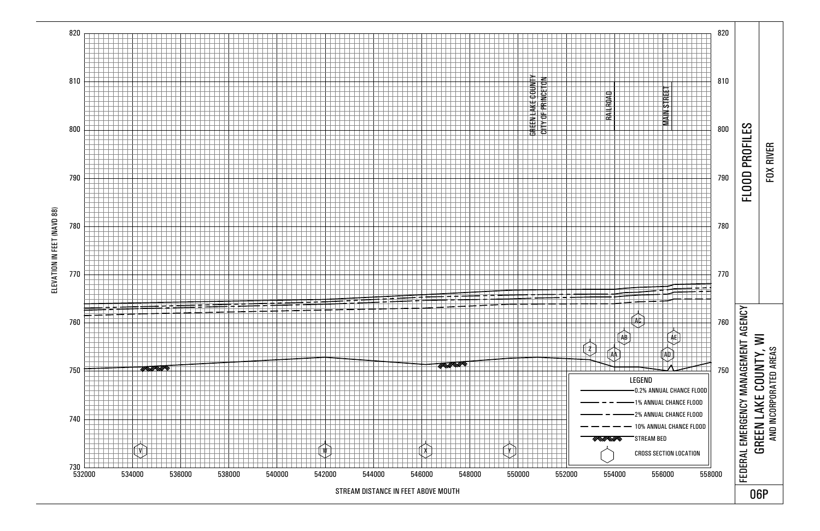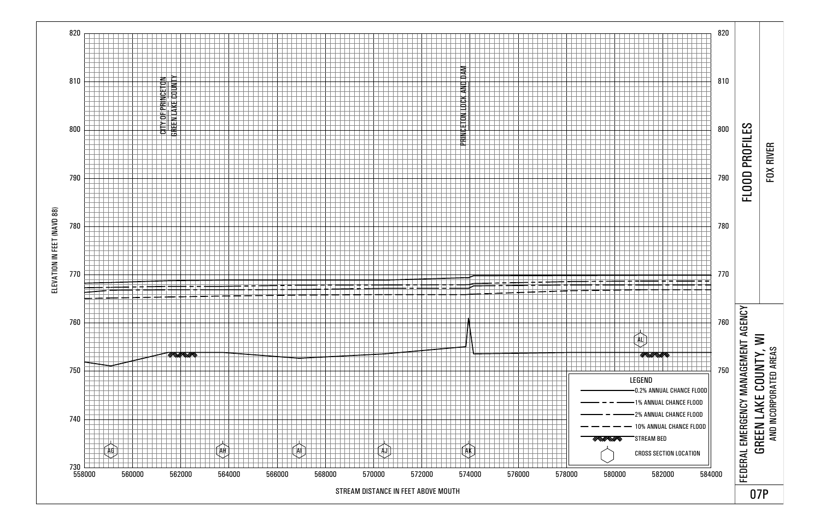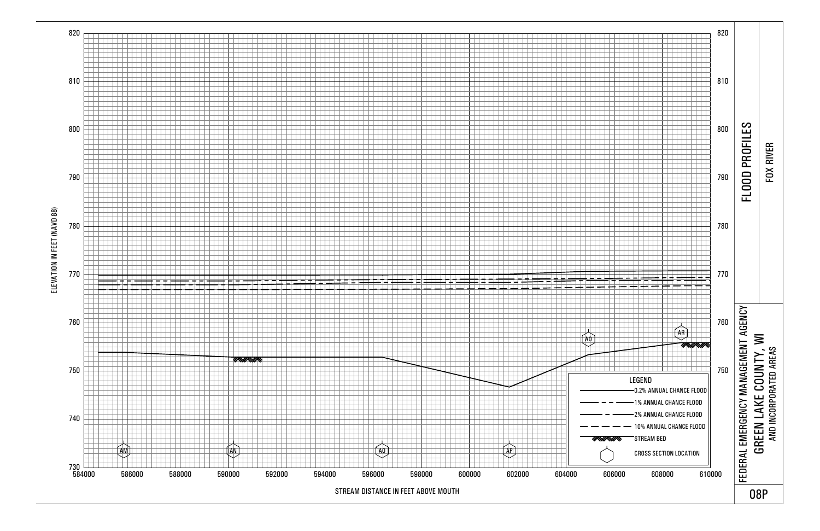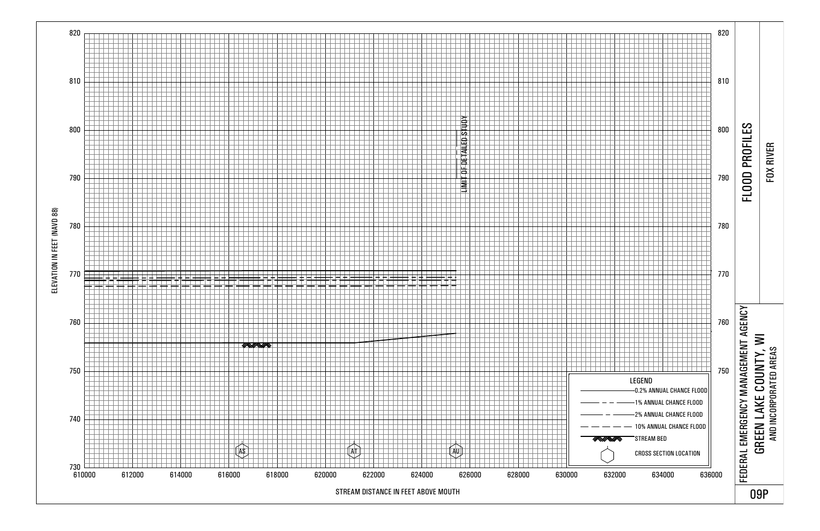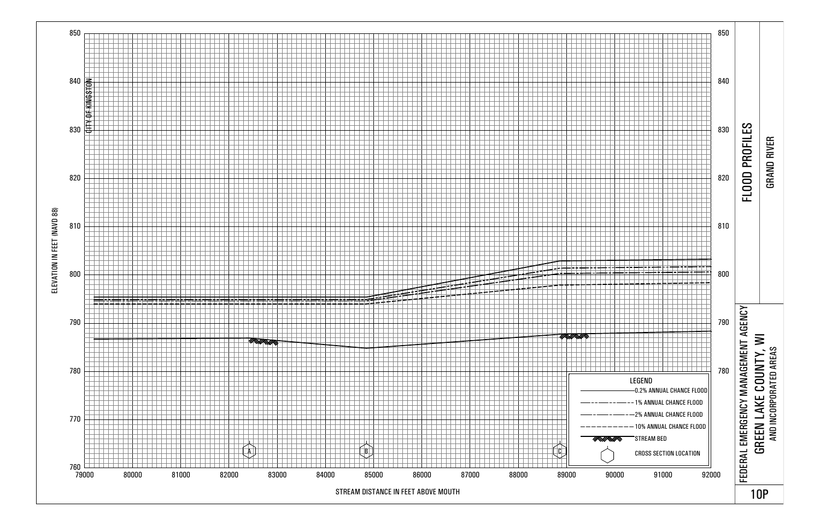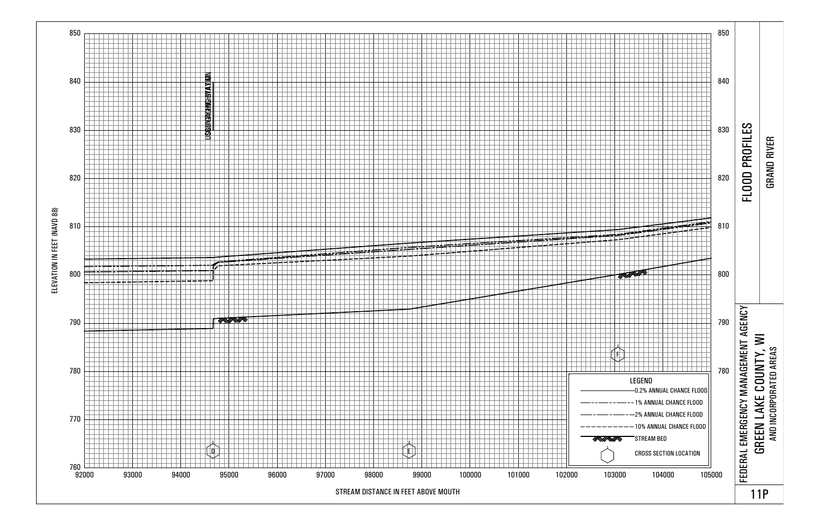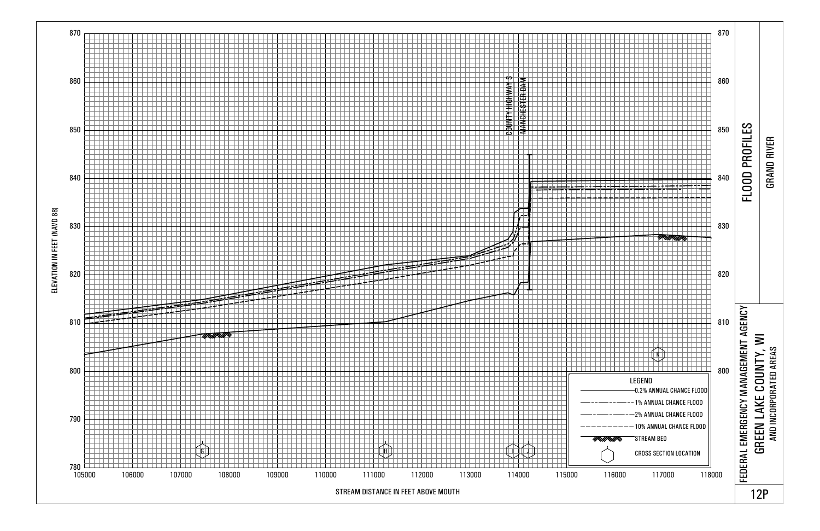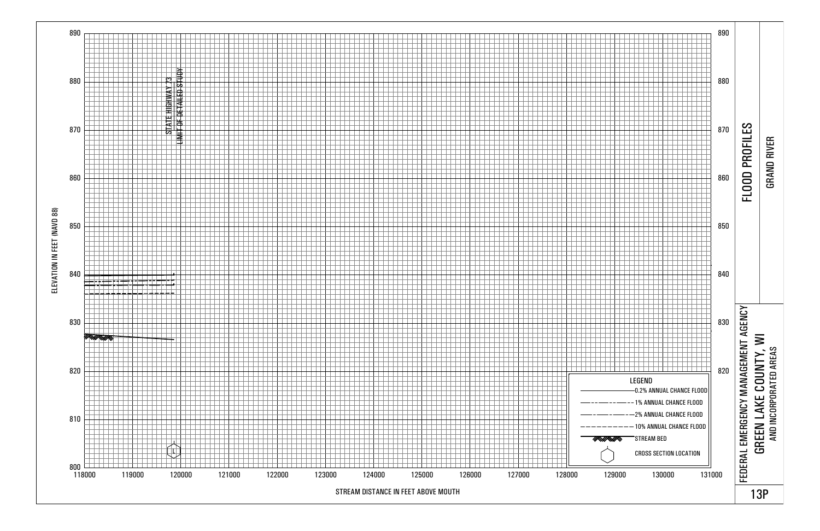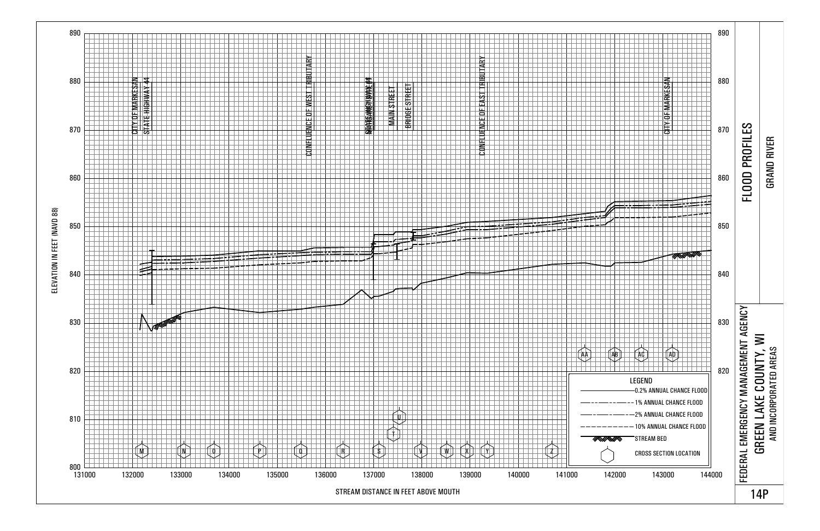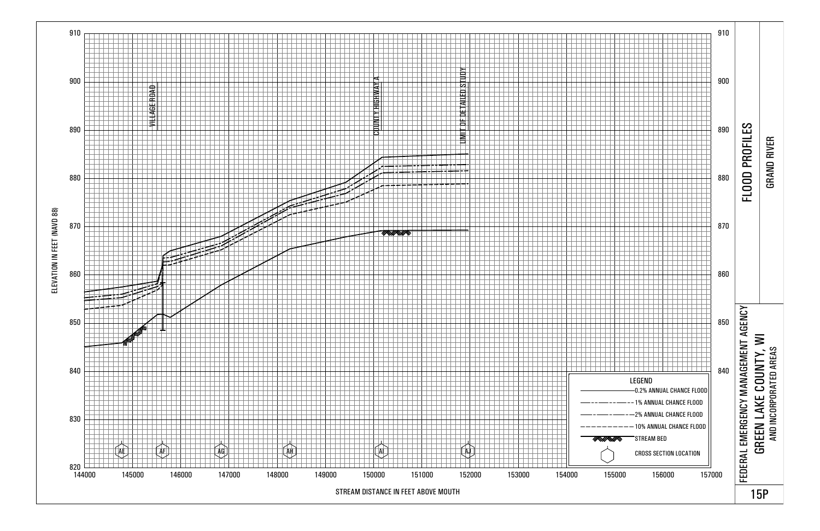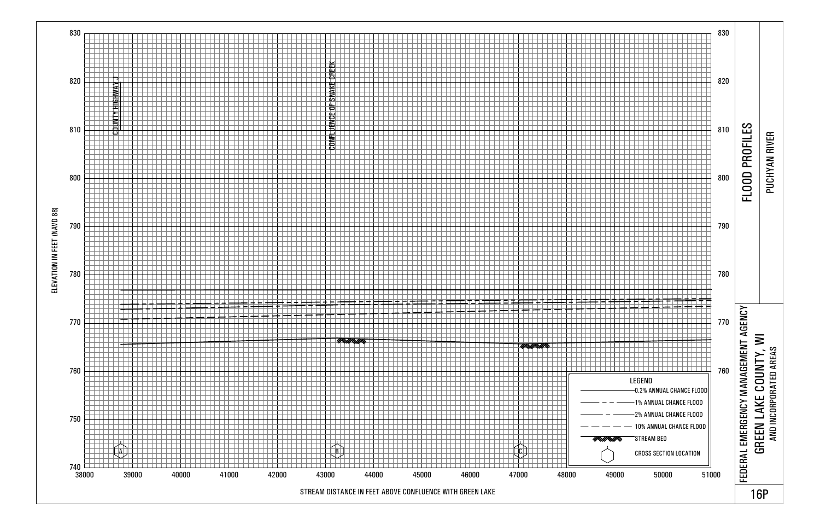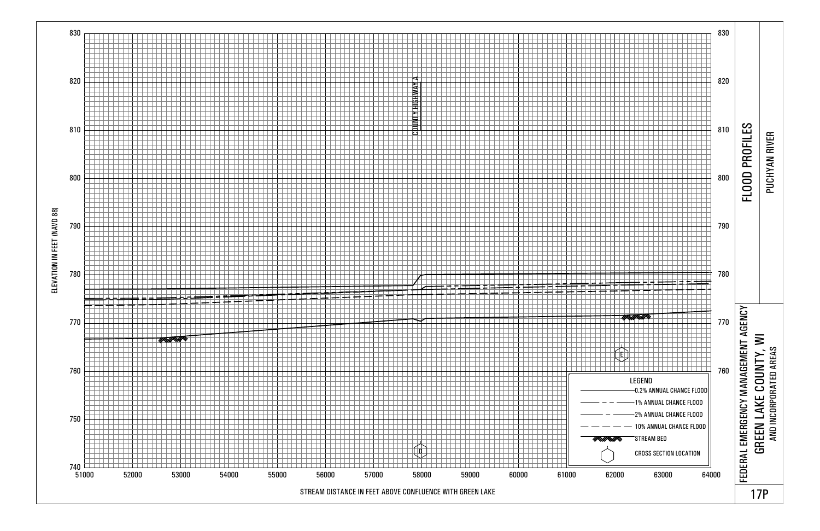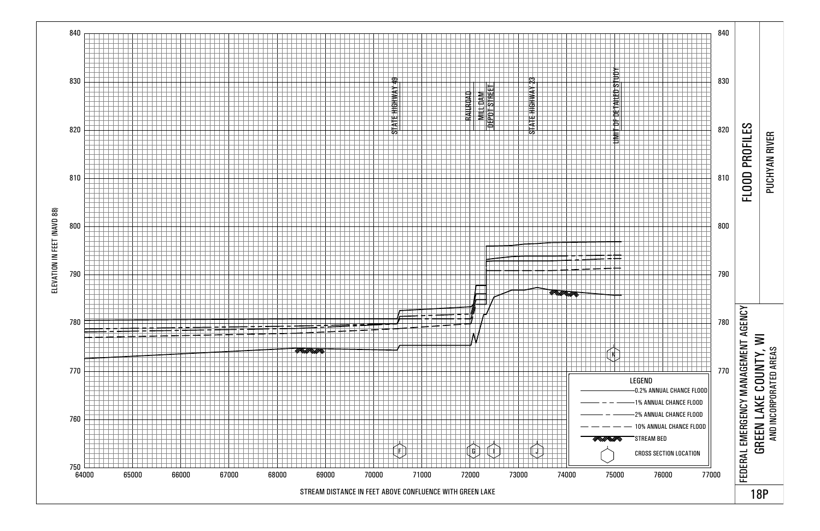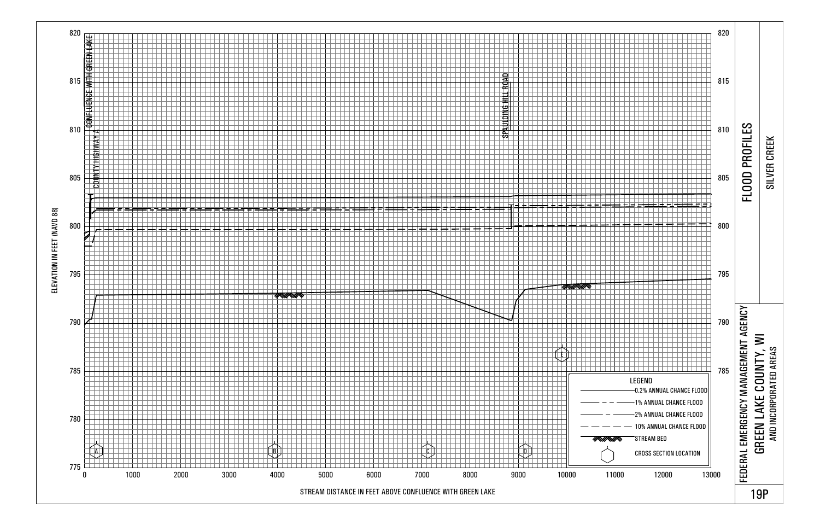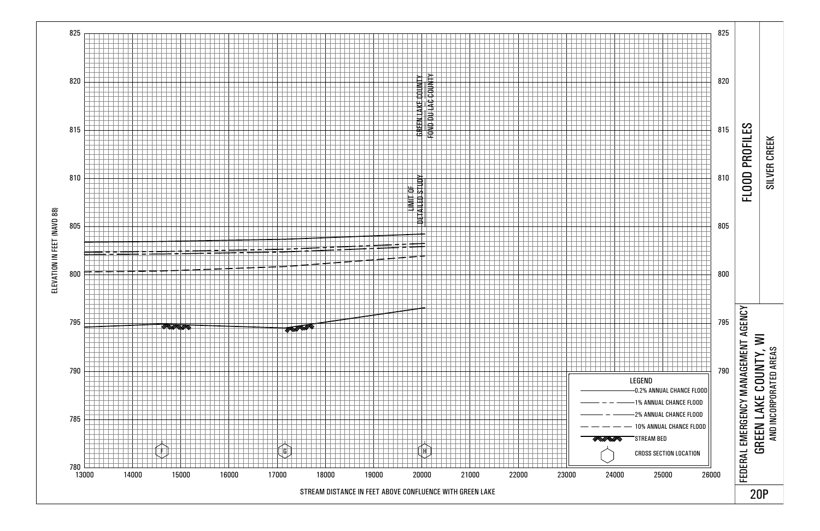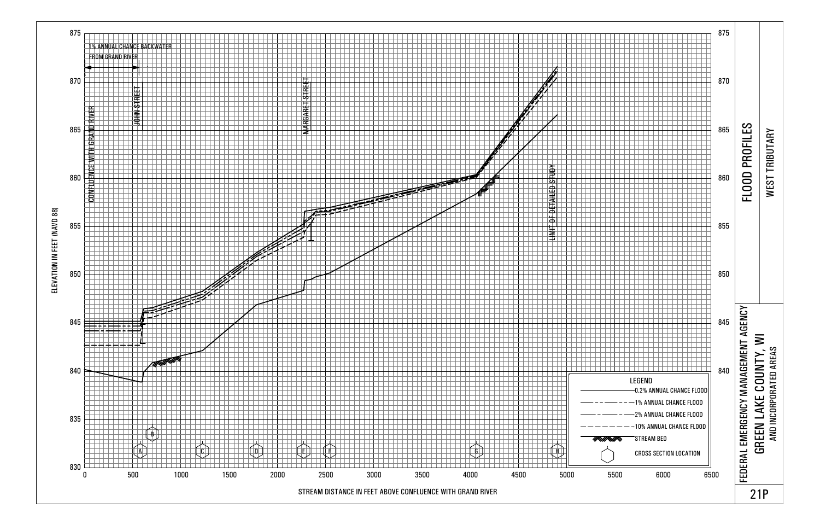